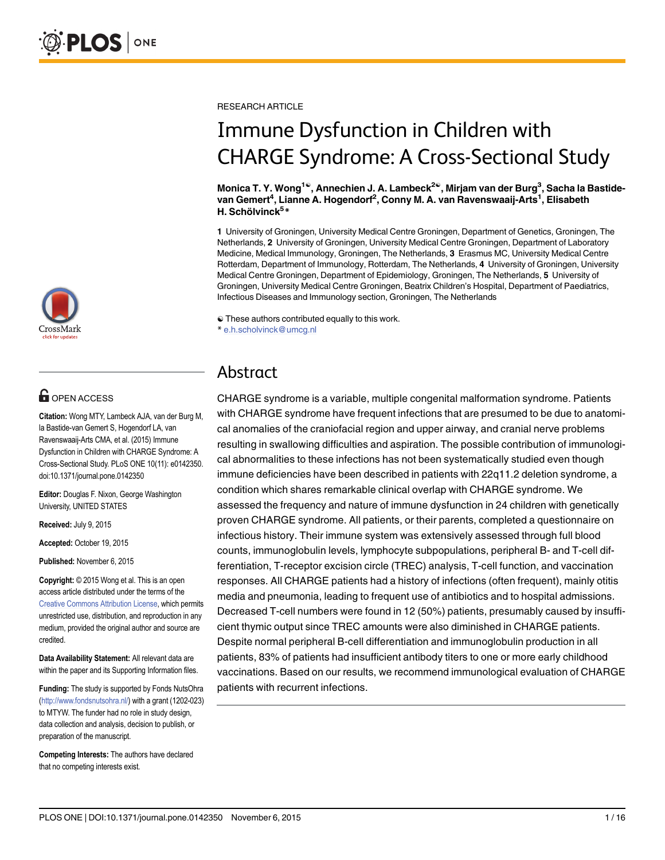

# $\mathbf{G}$  open access

Citation: Wong MTY, Lambeck AJA, van der Burg M, la Bastide-van Gemert S, Hogendorf LA, van Ravenswaaij-Arts CMA, et al. (2015) Immune Dysfunction in Children with CHARGE Syndrome: A Cross-Sectional Study. PLoS ONE 10(11): e0142350. doi:10.1371/journal.pone.0142350

Editor: Douglas F. Nixon, George Washington University, UNITED STATES

Received: July 9, 2015

Accepted: October 19, 2015

Published: November 6, 2015

Copyright: © 2015 Wong et al. This is an open access article distributed under the terms of the [Creative Commons Attribution License,](http://creativecommons.org/licenses/by/4.0/) which permits unrestricted use, distribution, and reproduction in any medium, provided the original author and source are credited.

Data Availability Statement: All relevant data are within the paper and its Supporting Information files.

Funding: The study is supported by Fonds NutsOhra [\(http://www.fondsnutsohra.nl/\)](http://www.fondsnutsohra.nl/) with a grant (1202-023) to MTYW. The funder had no role in study design, data collection and analysis, decision to publish, or preparation of the manuscript.

Competing Interests: The authors have declared that no competing interests exist.

RESEARCH ARTICLE

# Immune Dysfunction in Children with CHARGE Syndrome: A Cross-Sectional Study

Monica T. Y. Wong<sup>1ଢ</sup>, Annechien J. A. Lambeck<sup>2ଢ</sup>, Mirjam van der Burg<sup>3</sup>, Sacha la Bastidevan Gemert<sup>4</sup>, Lianne A. Hogendorf<sup>2</sup>, Conny M. A. van Ravenswaaij-Arts<sup>1</sup>, Elisabeth H. Schölvinck<sup>5</sup>\*

1 University of Groningen, University Medical Centre Groningen, Department of Genetics, Groningen, The Netherlands, 2 University of Groningen, University Medical Centre Groningen, Department of Laboratory Medicine, Medical Immunology, Groningen, The Netherlands, 3 Erasmus MC, University Medical Centre Rotterdam, Department of Immunology, Rotterdam, The Netherlands, 4 University of Groningen, University Medical Centre Groningen, Department of Epidemiology, Groningen, The Netherlands, 5 University of Groningen, University Medical Centre Groningen, Beatrix Children's Hospital, Department of Paediatrics, Infectious Diseases and Immunology section, Groningen, The Netherlands

☯ These authors contributed equally to this work.

\* e.h.scholvinck@umcg.nl

# Abstract

CHARGE syndrome is a variable, multiple congenital malformation syndrome. Patients with CHARGE syndrome have frequent infections that are presumed to be due to anatomical anomalies of the craniofacial region and upper airway, and cranial nerve problems resulting in swallowing difficulties and aspiration. The possible contribution of immunological abnormalities to these infections has not been systematically studied even though immune deficiencies have been described in patients with 22q11.2 deletion syndrome, a condition which shares remarkable clinical overlap with CHARGE syndrome. We assessed the frequency and nature of immune dysfunction in 24 children with genetically proven CHARGE syndrome. All patients, or their parents, completed a questionnaire on infectious history. Their immune system was extensively assessed through full blood counts, immunoglobulin levels, lymphocyte subpopulations, peripheral B- and T-cell differentiation, T-receptor excision circle (TREC) analysis, T-cell function, and vaccination responses. All CHARGE patients had a history of infections (often frequent), mainly otitis media and pneumonia, leading to frequent use of antibiotics and to hospital admissions. Decreased T-cell numbers were found in 12 (50%) patients, presumably caused by insufficient thymic output since TREC amounts were also diminished in CHARGE patients. Despite normal peripheral B-cell differentiation and immunoglobulin production in all patients, 83% of patients had insufficient antibody titers to one or more early childhood vaccinations. Based on our results, we recommend immunological evaluation of CHARGE patients with recurrent infections.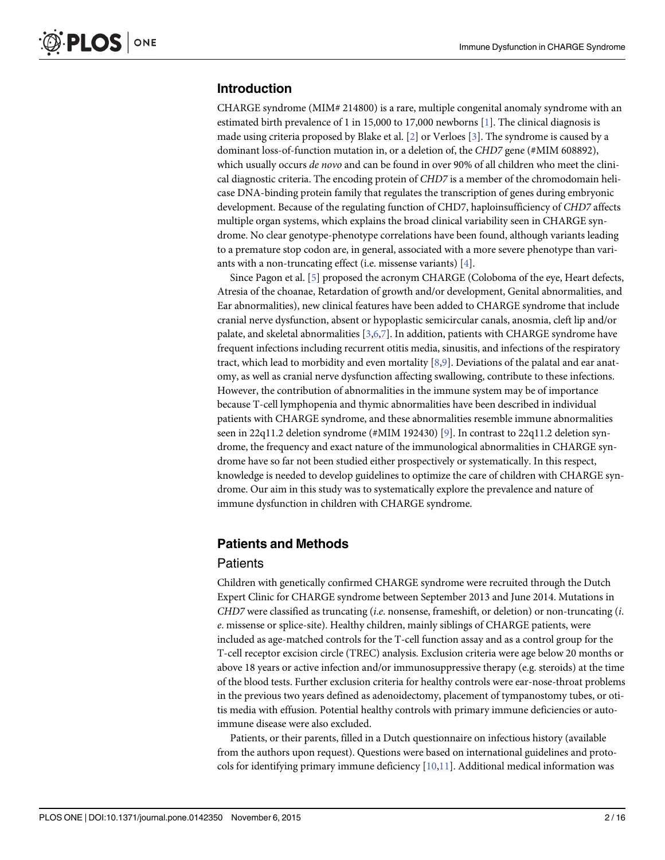#### <span id="page-1-0"></span>Introduction

CHARGE syndrome (MIM# 214800) is a rare, multiple congenital anomaly syndrome with an estimated birth prevalence of 1 in 15,000 to 17,000 newborns [\[1\]](#page-14-0). The clinical diagnosis is made using criteria proposed by Blake et al.  $[2]$  $[2]$  or Verloes  $[3]$  $[3]$ . The syndrome is caused by a dominant loss-of-function mutation in, or a deletion of, the CHD7 gene (#MIM 608892), which usually occurs de novo and can be found in over 90% of all children who meet the clinical diagnostic criteria. The encoding protein of CHD7 is a member of the chromodomain helicase DNA-binding protein family that regulates the transcription of genes during embryonic development. Because of the regulating function of CHD7, haploinsufficiency of CHD7 affects multiple organ systems, which explains the broad clinical variability seen in CHARGE syndrome. No clear genotype-phenotype correlations have been found, although variants leading to a premature stop codon are, in general, associated with a more severe phenotype than variants with a non-truncating effect (i.e. missense variants)  $[4]$ .

Since Pagon et al. [[5](#page-14-0)] proposed the acronym CHARGE (Coloboma of the eye, Heart defects, Atresia of the choanae, Retardation of growth and/or development, Genital abnormalities, and Ear abnormalities), new clinical features have been added to CHARGE syndrome that include cranial nerve dysfunction, absent or hypoplastic semicircular canals, anosmia, cleft lip and/or palate, and skeletal abnormalities [[3,6,7\]](#page-14-0). In addition, patients with CHARGE syndrome have frequent infections including recurrent otitis media, sinusitis, and infections of the respiratory tract, which lead to morbidity and even mortality  $[8,9]$ . Deviations of the palatal and ear anatomy, as well as cranial nerve dysfunction affecting swallowing, contribute to these infections. However, the contribution of abnormalities in the immune system may be of importance because T-cell lymphopenia and thymic abnormalities have been described in individual patients with CHARGE syndrome, and these abnormalities resemble immune abnormalities seen in 22q11.2 deletion syndrome (#MIM 192430) [\[9\]](#page-14-0). In contrast to 22q11.2 deletion syndrome, the frequency and exact nature of the immunological abnormalities in CHARGE syndrome have so far not been studied either prospectively or systematically. In this respect, knowledge is needed to develop guidelines to optimize the care of children with CHARGE syndrome. Our aim in this study was to systematically explore the prevalence and nature of immune dysfunction in children with CHARGE syndrome.

# Patients and Methods

#### **Patients**

Children with genetically confirmed CHARGE syndrome were recruited through the Dutch Expert Clinic for CHARGE syndrome between September 2013 and June 2014. Mutations in CHD7 were classified as truncating (*i.e.* nonsense, frameshift, or deletion) or non-truncating  $(i.$ e. missense or splice-site). Healthy children, mainly siblings of CHARGE patients, were included as age-matched controls for the T-cell function assay and as a control group for the T-cell receptor excision circle (TREC) analysis. Exclusion criteria were age below 20 months or above 18 years or active infection and/or immunosuppressive therapy (e.g. steroids) at the time of the blood tests. Further exclusion criteria for healthy controls were ear-nose-throat problems in the previous two years defined as adenoidectomy, placement of tympanostomy tubes, or otitis media with effusion. Potential healthy controls with primary immune deficiencies or autoimmune disease were also excluded.

Patients, or their parents, filled in a Dutch questionnaire on infectious history (available from the authors upon request). Questions were based on international guidelines and protocols for identifying primary immune deficiency  $[10,11]$  $[10,11]$  $[10,11]$ . Additional medical information was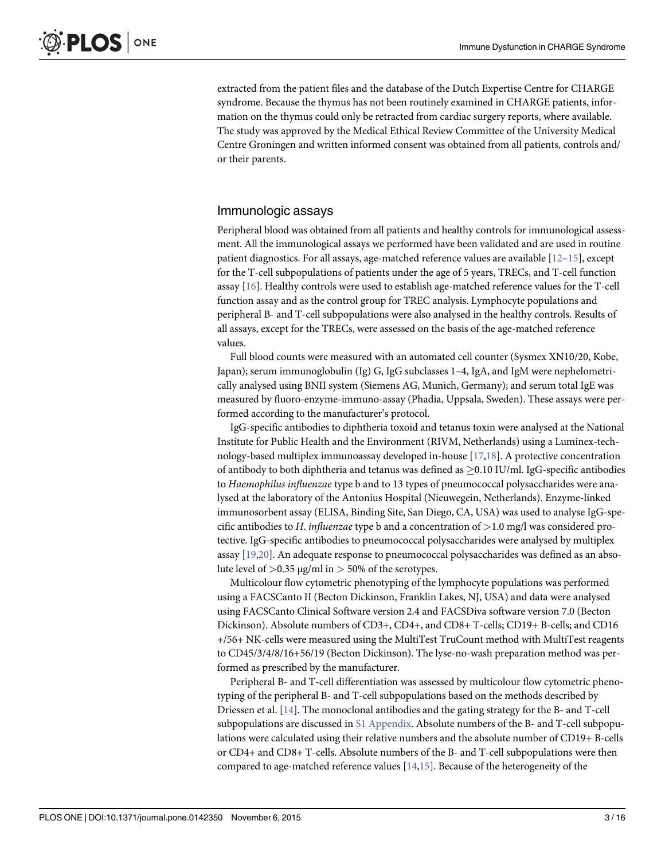<span id="page-2-0"></span>extracted from the patient files and the database of the Dutch Expertise Centre for CHARGE syndrome. Because the thymus has not been routinely examined in CHARGE patients, information on the thymus could only be retracted from cardiac surgery reports, where available. The study was approved by the Medical Ethical Review Committee of the University Medical Centre Groningen and written informed consent was obtained from all patients, controls and/ or their parents.

#### Immunologic assays

Peripheral blood was obtained from all patients and healthy controls for immunological assessment. All the immunological assays we performed have been validated and are used in routine patient diagnostics. For all assays, age-matched reference values are available  $[12-15]$  $[12-15]$  $[12-15]$ , except for the T-cell subpopulations of patients under the age of 5 years, TRECs, and T-cell function assay [\[16\]](#page-14-0). Healthy controls were used to establish age-matched reference values for the T-cell function assay and as the control group for TREC analysis. Lymphocyte populations and peripheral B- and T-cell subpopulations were also analysed in the healthy controls. Results of all assays, except for the TRECs, were assessed on the basis of the age-matched reference values.

Full blood counts were measured with an automated cell counter (Sysmex XN10/20, Kobe, Japan); serum immunoglobulin (Ig) G, IgG subclasses 1–4, IgA, and IgM were nephelometrically analysed using BNII system (Siemens AG, Munich, Germany); and serum total IgE was measured by fluoro-enzyme-immuno-assay (Phadia, Uppsala, Sweden). These assays were performed according to the manufacturer's protocol.

IgG-specific antibodies to diphtheria toxoid and tetanus toxin were analysed at the National Institute for Public Health and the Environment (RIVM, Netherlands) using a Luminex-technology-based multiplex immunoassay developed in-house [[17](#page-14-0),[18](#page-14-0)]. A protective concentration of antibody to both diphtheria and tetanus was defined as  $\geq$  0.10 IU/ml. IgG-specific antibodies to Haemophilus influenzae type b and to 13 types of pneumococcal polysaccharides were analysed at the laboratory of the Antonius Hospital (Nieuwegein, Netherlands). Enzyme-linked immunosorbent assay (ELISA, Binding Site, San Diego, CA, USA) was used to analyse IgG-specific antibodies to H. influenzae type b and a concentration of  $>1.0$  mg/l was considered protective. IgG-specific antibodies to pneumococcal polysaccharides were analysed by multiplex assay [\[19,20\]](#page-15-0). An adequate response to pneumococcal polysaccharides was defined as an absolute level of  $>$  0.35 μg/ml in  $>$  50% of the serotypes.

Multicolour flow cytometric phenotyping of the lymphocyte populations was performed using a FACSCanto II (Becton Dickinson, Franklin Lakes, NJ, USA) and data were analysed using FACSCanto Clinical Software version 2.4 and FACSDiva software version 7.0 (Becton Dickinson). Absolute numbers of CD3+, CD4+, and CD8+ T-cells; CD19+ B-cells; and CD16 +/56+ NK-cells were measured using the MultiTest TruCount method with MultiTest reagents to CD45/3/4/8/16+56/19 (Becton Dickinson). The lyse-no-wash preparation method was performed as prescribed by the manufacturer.

Peripheral B- and T-cell differentiation was assessed by multicolour flow cytometric phenotyping of the peripheral B- and T-cell subpopulations based on the methods described by Driessen et al. [[14\]](#page-14-0). The monoclonal antibodies and the gating strategy for the B- and T-cell subpopulations are discussed in [S1 Appendix.](#page-13-0) Absolute numbers of the B- and T-cell subpopulations were calculated using their relative numbers and the absolute number of CD19+ B-cells or CD4+ and CD8+ T-cells. Absolute numbers of the B- and T-cell subpopulations were then compared to age-matched reference values  $[14,15]$  $[14,15]$ . Because of the heterogeneity of the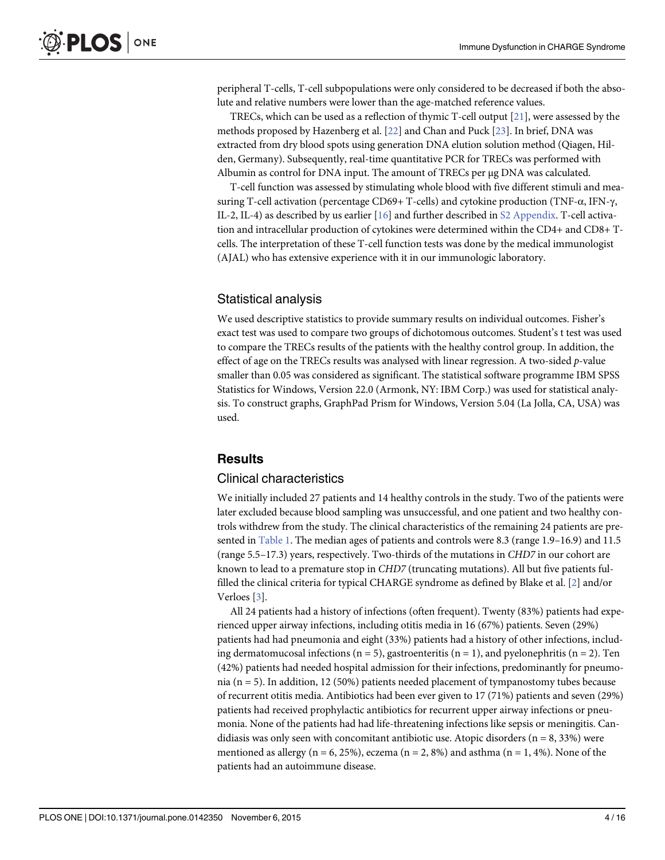<span id="page-3-0"></span>peripheral T-cells, T-cell subpopulations were only considered to be decreased if both the absolute and relative numbers were lower than the age-matched reference values.

TRECs, which can be used as a reflection of thymic T-cell output  $[21]$ , were assessed by the methods proposed by Hazenberg et al. [\[22\]](#page-15-0) and Chan and Puck [\[23](#page-15-0)]. In brief, DNA was extracted from dry blood spots using generation DNA elution solution method (Qiagen, Hilden, Germany). Subsequently, real-time quantitative PCR for TRECs was performed with Albumin as control for DNA input. The amount of TRECs per μg DNA was calculated.

T-cell function was assessed by stimulating whole blood with five different stimuli and measuring T-cell activation (percentage CD69+ T-cells) and cytokine production (TNF-α, IFN-γ, IL-2, IL-4) as described by us earlier [[16\]](#page-14-0) and further described in [S2 Appendix.](#page-13-0) T-cell activation and intracellular production of cytokines were determined within the CD4+ and CD8+ Tcells. The interpretation of these T-cell function tests was done by the medical immunologist (AJAL) who has extensive experience with it in our immunologic laboratory.

#### Statistical analysis

We used descriptive statistics to provide summary results on individual outcomes. Fisher's exact test was used to compare two groups of dichotomous outcomes. Student's t test was used to compare the TRECs results of the patients with the healthy control group. In addition, the effect of age on the TRECs results was analysed with linear regression. A two-sided p-value smaller than 0.05 was considered as significant. The statistical software programme IBM SPSS Statistics for Windows, Version 22.0 (Armonk, NY: IBM Corp.) was used for statistical analysis. To construct graphs, GraphPad Prism for Windows, Version 5.04 (La Jolla, CA, USA) was used.

#### **Results**

#### Clinical characteristics

We initially included 27 patients and 14 healthy controls in the study. Two of the patients were later excluded because blood sampling was unsuccessful, and one patient and two healthy controls withdrew from the study. The clinical characteristics of the remaining 24 patients are presented in [Table 1](#page-4-0). The median ages of patients and controls were 8.3 (range 1.9–16.9) and 11.5 (range 5.5–17.3) years, respectively. Two-thirds of the mutations in CHD7 in our cohort are known to lead to a premature stop in CHD7 (truncating mutations). All but five patients fulfilled the clinical criteria for typical CHARGE syndrome as defined by Blake et al. [[2](#page-14-0)] and/or Verloes [[3\]](#page-14-0).

All 24 patients had a history of infections (often frequent). Twenty (83%) patients had experienced upper airway infections, including otitis media in 16 (67%) patients. Seven (29%) patients had had pneumonia and eight (33%) patients had a history of other infections, including dermatomucosal infections ( $n = 5$ ), gastroenteritis ( $n = 1$ ), and pyelonephritis ( $n = 2$ ). Ten (42%) patients had needed hospital admission for their infections, predominantly for pneumonia (n = 5). In addition, 12 (50%) patients needed placement of tympanostomy tubes because of recurrent otitis media. Antibiotics had been ever given to 17 (71%) patients and seven (29%) patients had received prophylactic antibiotics for recurrent upper airway infections or pneumonia. None of the patients had had life-threatening infections like sepsis or meningitis. Candidiasis was only seen with concomitant antibiotic use. Atopic disorders  $(n = 8, 33%)$  were mentioned as allergy (n = 6, 25%), eczema (n = 2, 8%) and asthma (n = 1, 4%). None of the patients had an autoimmune disease.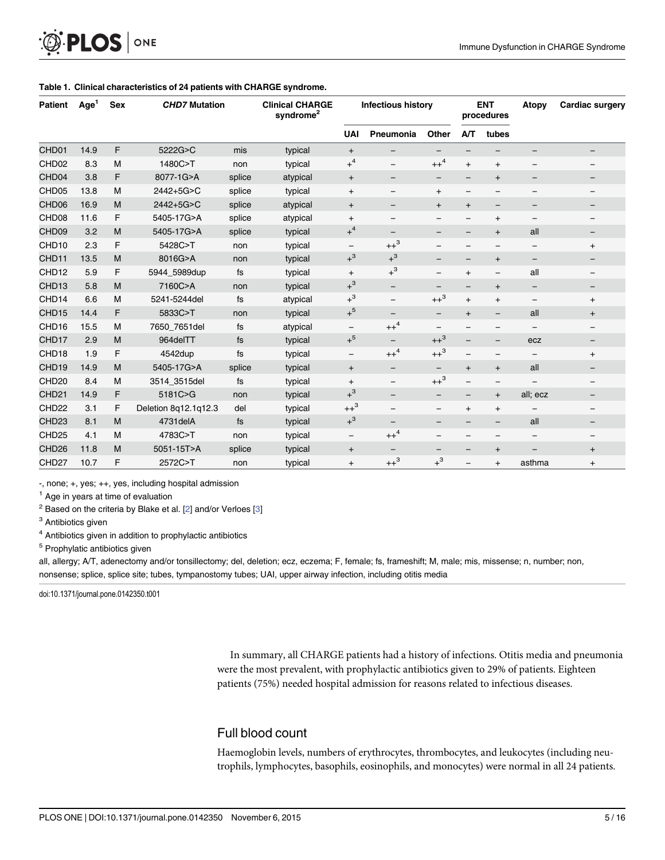<span id="page-4-0"></span>

| <b>Patient</b>    | Age <sup>1</sup> | <b>Sex</b> | <b>CHD7 Mutation</b> |        | <b>Clinical CHARGE</b><br>syndrome <sup>2</sup> |                                  | <b>Infectious history</b> |                          |                                  | <b>ENT</b><br>procedures | <b>Atopy</b>             | <b>Cardiac surgery</b> |
|-------------------|------------------|------------|----------------------|--------|-------------------------------------------------|----------------------------------|---------------------------|--------------------------|----------------------------------|--------------------------|--------------------------|------------------------|
|                   |                  |            |                      |        |                                                 | <b>UAI</b>                       | Pneumonia                 | Other                    | AЛ                               | tubes                    |                          |                        |
| CHD <sub>01</sub> | 14.9             | F          | 5222G>C              | mis    | typical                                         | $+$                              | $\overline{\phantom{m}}$  | -                        | $\qquad \qquad -$                |                          | $\overline{\phantom{m}}$ | -                      |
| CHD <sub>02</sub> | 8.3              | M          | 1480C>T              | non    | typical                                         | $+$ <sup>4</sup>                 | $\overline{\phantom{m}}$  | $++^4$                   | $\begin{array}{c} + \end{array}$ | $\ddot{}$                | —                        | -                      |
| CHD <sub>04</sub> | 3.8              | F          | 8077-1G>A            | splice | atypical                                        | $\ddot{}$                        | $\overline{\phantom{m}}$  |                          | $\qquad \qquad -$                | $\ddot{}$                | $\overline{\phantom{m}}$ | -                      |
| CHD <sub>05</sub> | 13.8             | M          | 2442+5G>C            | splice | typical                                         | $\begin{array}{c} + \end{array}$ | $\qquad \qquad -$         | $\overline{+}$           | $\qquad \qquad -$                | -                        | $\overline{\phantom{m}}$ | —                      |
| CHD <sub>06</sub> | 16.9             | M          | 2442+5G>C            | splice | atypical                                        | $\ddot{}$                        | $\overline{\phantom{m}}$  | $\ddot{}$                | $\ddot{}$                        | $\qquad \qquad -$        | $\overline{\phantom{m}}$ | -                      |
| CHD <sub>08</sub> | 11.6             | F          | 5405-17G>A           | splice | atypical                                        | $\begin{array}{c} + \end{array}$ | -                         |                          | -                                | $\ddot{}$                | $\overline{\phantom{m}}$ |                        |
| CHD <sub>09</sub> | 3.2              | M          | 5405-17G>A           | splice | typical                                         | $+$ <sup>4</sup>                 | $\qquad \qquad -$         |                          | -                                | $\ddot{}$                | all                      | -                      |
| CHD <sub>10</sub> | 2.3              | F          | 5428C>T              | non    | typical                                         | $\overline{\phantom{m}}$         | $++^3$                    | $\overline{\phantom{0}}$ |                                  | $\overline{\phantom{0}}$ |                          | $\ddot{}$              |
| CHD11             | 13.5             | M          | 8016G>A              | non    | typical                                         | $+$ <sup>3</sup>                 | $+$ <sup>3</sup>          |                          | -                                | $^{+}$                   | $\overline{\phantom{m}}$ | -                      |
| CHD <sub>12</sub> | 5.9              | F          | 5944 5989dup         | fs     | typical                                         | $^{+}$                           | $+$ <sup>3</sup>          | -                        | $\ddot{}$                        | $\overline{\phantom{0}}$ | all                      | -                      |
| CHD <sub>13</sub> | 5.8              | M          | 7160C>A              | non    | typical                                         | $+$ <sup>3</sup>                 | $\qquad \qquad -$         | -                        | $\overline{\phantom{a}}$         | $\overline{+}$           | $\overline{\phantom{m}}$ | -                      |
| CHD14             | 6.6              | M          | 5241-5244del         | fs     | atypical                                        | $+$ <sup>3</sup>                 | $\overline{\phantom{0}}$  | $++^3$                   | $\ddot{}$                        | $\overline{+}$           | $\overline{\phantom{m}}$ | $\ddot{}$              |
| CHD15             | 14.4             | F          | 5833C>T              | non    | typical                                         | $+$ <sup>5</sup>                 | -                         | $\overline{\phantom{m}}$ | $\ddot{}$                        | $\overline{\phantom{0}}$ | all                      | $\ddot{}$              |
| CHD <sub>16</sub> | 15.5             | M          | 7650 7651del         | fs     | atypical                                        | $\overline{\phantom{m}}$         | $++^4$                    | —                        |                                  | $\overline{\phantom{0}}$ |                          | -                      |
| CHD17             | 2.9              | M          | 964delTT             | fs     | typical                                         | $+^5$                            | $\qquad \qquad -$         | $++^3$                   | -                                | -                        | ecz                      | $\qquad \qquad -$      |
| CHD <sub>18</sub> | 1.9              | F          | 4542dup              | fs     | typical                                         | $\overline{\phantom{m}}$         | $++^4$                    | $++^3$                   | $\overline{\phantom{m}}$         | $\overline{\phantom{0}}$ | $\overline{\phantom{m}}$ | $\ddot{}$              |
| CHD <sub>19</sub> | 14.9             | M          | 5405-17G>A           | splice | typical                                         | $\ddot{}$                        | $\overline{\phantom{m}}$  | -                        | $+$                              | $\ddot{}$                | all                      | $\qquad \qquad -$      |
| CHD <sub>20</sub> | 8.4              | M          | 3514 3515del         | fs     | typical                                         | $+$                              | $\overline{\phantom{m}}$  | $++^3$                   | $\overline{\phantom{0}}$         | $\qquad \qquad -$        | $\overline{\phantom{m}}$ |                        |
| CHD <sub>21</sub> | 14.9             | F          | 5181C>G              | non    | typical                                         | $+$ <sup>3</sup>                 | $\overline{\phantom{m}}$  | $\qquad \qquad -$        | —                                | $+$                      | all; ecz                 | -                      |
| CHD <sub>22</sub> | 3.1              | F          | Deletion 8q12.1q12.3 | del    | typical                                         | $++^3$                           | $\overline{\phantom{0}}$  | -                        | $+$                              | $+$                      | $\overline{\phantom{m}}$ |                        |
| CHD <sub>23</sub> | 8.1              | M          | 4731delA             | fs     | typical                                         | $+$ <sup>3</sup>                 | $\qquad \qquad -$         |                          | -                                | -                        | all                      | -                      |
| CHD <sub>25</sub> | 4.1              | M          | 4783C>T              | non    | typical                                         | $\overline{\phantom{m}}$         | $++^4$                    | $\overline{\phantom{m}}$ | -                                | -                        | $\overline{\phantom{m}}$ | -                      |
| CHD <sub>26</sub> | 11.8             | M          | 5051-15T>A           | splice | typical                                         | $\begin{array}{c} + \end{array}$ | -                         |                          |                                  | $\ddot{}$                |                          | $\ddot{}$              |
| CHD <sub>27</sub> | 10.7             | F          | 2572C>T              | non    | typical                                         | $\begin{array}{c} + \end{array}$ | $++^3$                    | $+$ <sup>3</sup>         |                                  | $\ddot{}$                | asthma                   | $\overline{+}$         |

#### [Table 1.](#page-3-0) Clinical characteristics of 24 patients with CHARGE syndrome.

-, none; +, yes; ++, yes, including hospital admission

 $<sup>1</sup>$  Age in years at time of evaluation</sup>

 $2$  Based on the criteria by Blake et al. [2] and/or Verloes [\[3\]](#page-14-0)

<sup>3</sup> Antibiotics given

<sup>4</sup> Antibiotics given in addition to prophylactic antibiotics

<sup>5</sup> Prophylatic antibiotics given

all, allergy; A/T, adenectomy and/or tonsillectomy; del, deletion; ecz, eczema; F, female; fs, frameshift; M, male; mis, missense; n, number; non, nonsense; splice, splice site; tubes, tympanostomy tubes; UAI, upper airway infection, including otitis media

doi:10.1371/journal.pone.0142350.t001

In summary, all CHARGE patients had a history of infections. Otitis media and pneumonia were the most prevalent, with prophylactic antibiotics given to 29% of patients. Eighteen patients (75%) needed hospital admission for reasons related to infectious diseases.

# Full blood count

Haemoglobin levels, numbers of erythrocytes, thrombocytes, and leukocytes (including neutrophils, lymphocytes, basophils, eosinophils, and monocytes) were normal in all 24 patients.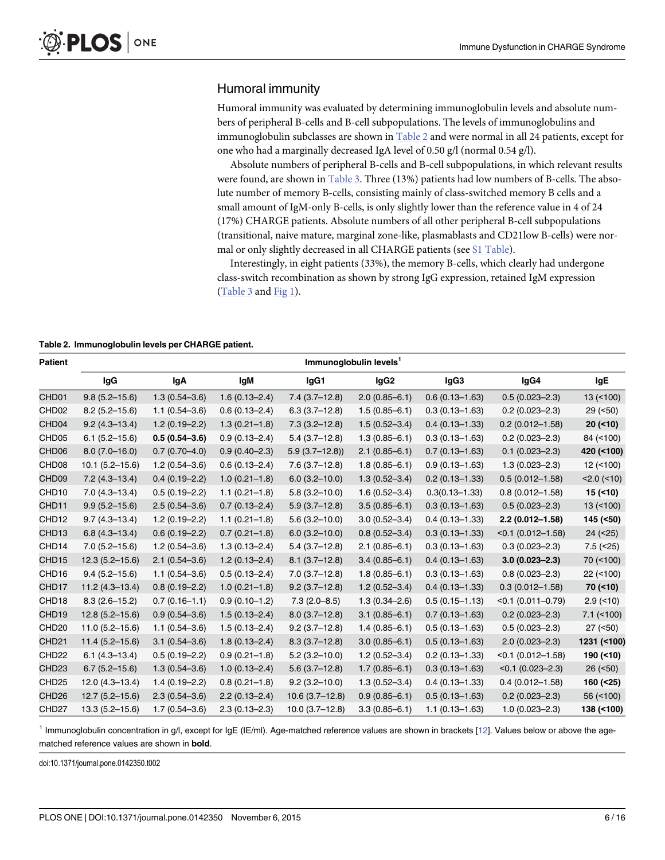# <span id="page-5-0"></span>Humoral immunity

Humoral immunity was evaluated by determining immunoglobulin levels and absolute numbers of peripheral B-cells and B-cell subpopulations. The levels of immunoglobulins and immunoglobulin subclasses are shown in **Table 2** and were normal in all 24 patients, except for one who had a marginally decreased IgA level of 0.50 g/l (normal 0.54 g/l).

Absolute numbers of peripheral B-cells and B-cell subpopulations, in which relevant results were found, are shown in [Table 3](#page-6-0). Three (13%) patients had low numbers of B-cells. The absolute number of memory B-cells, consisting mainly of class-switched memory B cells and a small amount of IgM-only B-cells, is only slightly lower than the reference value in 4 of 24 (17%) CHARGE patients. Absolute numbers of all other peripheral B-cell subpopulations (transitional, naive mature, marginal zone-like, plasmablasts and CD21low B-cells) were nor-mal or only slightly decreased in all CHARGE patients (see [S1 Table\)](#page-13-0).

Interestingly, in eight patients (33%), the memory B-cells, which clearly had undergone class-switch recombination as shown by strong IgG expression, retained IgM expression [\(Table 3](#page-6-0) and [Fig 1](#page-7-0)).

#### Table 2. Immunoglobulin levels per CHARGE patient.

| <b>Patient</b>    |                    |                   |                   |                   | Immunoglobulin levels <sup>1</sup> |                    |                      |                    |
|-------------------|--------------------|-------------------|-------------------|-------------------|------------------------------------|--------------------|----------------------|--------------------|
|                   | lgG                | lgA               | <b>IgM</b>        | IgG1              | lgG2                               | IgG3               | IgG4                 | IgE                |
| CHD <sub>01</sub> | $9.8(5.2 - 15.6)$  | $1.3(0.54 - 3.6)$ | $1.6(0.13 - 2.4)$ | $7.4(3.7-12.8)$   | $2.0(0.85 - 6.1)$                  | $0.6(0.13 - 1.63)$ | $0.5(0.023 - 2.3)$   | 13(100)            |
| CHD <sub>02</sub> | $8.2(5.2 - 15.6)$  | $1.1(0.54 - 3.6)$ | $0.6(0.13 - 2.4)$ | $6.3(3.7-12.8)$   | $1.5(0.85 - 6.1)$                  | $0.3(0.13 - 1.63)$ | $0.2(0.023 - 2.3)$   | $29$ (<50)         |
| CHD <sub>04</sub> | $9.2(4.3 - 13.4)$  | $1.2(0.19-2.2)$   | $1.3(0.21 - 1.8)$ | $7.3(3.2 - 12.8)$ | $1.5(0.52 - 3.4)$                  | $0.4(0.13 - 1.33)$ | $0.2(0.012 - 1.58)$  | 20(10)             |
| CHD <sub>05</sub> | $6.1(5.2 - 15.6)$  | $0.5(0.54 - 3.6)$ | $0.9(0.13 - 2.4)$ | $5.4(3.7-12.8)$   | $1.3(0.85 - 6.1)$                  | $0.3(0.13 - 1.63)$ | $0.2(0.023 - 2.3)$   | 84 (<100)          |
| CHD <sub>06</sub> | $8.0(7.0-16.0)$    | $0.7(0.70-4.0)$   | $0.9(0.40 - 2.3)$ | $5.9(3.7-12.8)$   | $2.1(0.85 - 6.1)$                  | $0.7(0.13 - 1.63)$ | $0.1(0.023 - 2.3)$   | 420 (<100)         |
| CHD <sub>08</sub> | $10.1(5.2 - 15.6)$ | $1.2(0.54 - 3.6)$ | $0.6(0.13 - 2.4)$ | $7.6(3.7-12.8)$   | $1.8(0.85 - 6.1)$                  | $0.9(0.13 - 1.63)$ | $1.3(0.023 - 2.3)$   | $12$ (<100)        |
| CHD <sub>09</sub> | $7.2(4.3 - 13.4)$  | $0.4(0.19-2.2)$   | $1.0(0.21 - 1.8)$ | $6.0(3.2 - 10.0)$ | $1.3(0.52 - 3.4)$                  | $0.2(0.13 - 1.33)$ | $0.5(0.012 - 1.58)$  | $< 2.0$ ( $< 10$ ) |
| CHD <sub>10</sub> | $7.0(4.3 - 13.4)$  | $0.5(0.19-2.2)$   | $1.1(0.21 - 1.8)$ | $5.8(3.2 - 10.0)$ | $1.6(0.52 - 3.4)$                  | $0.3(0.13 - 1.33)$ | $0.8(0.012 - 1.58)$  | 15( < 10)          |
| CHD11             | $9.9(5.2 - 15.6)$  | $2.5(0.54 - 3.6)$ | $0.7(0.13 - 2.4)$ | $5.9(3.7-12.8)$   | $3.5(0.85 - 6.1)$                  | $0.3(0.13 - 1.63)$ | $0.5(0.023 - 2.3)$   | $13($ < $100)$     |
| CHD <sub>12</sub> | $9.7(4.3 - 13.4)$  | $1.2(0.19 - 2.2)$ | $1.1(0.21 - 1.8)$ | $5.6(3.2 - 10.0)$ | $3.0(0.52 - 3.4)$                  | $0.4(0.13 - 1.33)$ | $2.2(0.012 - 1.58)$  | 145 (<50)          |
| CHD <sub>13</sub> | $6.8(4.3 - 13.4)$  | $0.6(0.19-2.2)$   | $0.7(0.21 - 1.8)$ | $6.0$ (3.2-10.0)  | $0.8(0.52 - 3.4)$                  | $0.3(0.13 - 1.33)$ | $<$ 0.1 (0.012-1.58) | $24$ ( $25$ )      |
| CHD14             | $7.0(5.2 - 15.6)$  | $1.2(0.54 - 3.6)$ | $1.3(0.13 - 2.4)$ | $5.4(3.7-12.8)$   | $2.1(0.85 - 6.1)$                  | $0.3(0.13 - 1.63)$ | $0.3(0.023 - 2.3)$   | $7.5$ ( $25$ )     |
| CHD <sub>15</sub> | $12.3(5.2 - 15.6)$ | $2.1(0.54 - 3.6)$ | $1.2(0.13 - 2.4)$ | $8.1(3.7-12.8)$   | $3.4(0.85 - 6.1)$                  | $0.4(0.13 - 1.63)$ | $3.0(0.023 - 2.3)$   | 70 (<100)          |
| CHD <sub>16</sub> | $9.4(5.2 - 15.6)$  | $1.1(0.54 - 3.6)$ | $0.5(0.13 - 2.4)$ | $7.0(3.7-12.8)$   | $1.8(0.85 - 6.1)$                  | $0.3(0.13 - 1.63)$ | $0.8(0.023 - 2.3)$   | 22 (<100)          |
| CHD17             | $11.2(4.3 - 13.4)$ | $0.8(0.19-2.2)$   | $1.0(0.21 - 1.8)$ | $9.2(3.7-12.8)$   | $1.2(0.52 - 3.4)$                  | $0.4(0.13 - 1.33)$ | $0.3(0.012 - 1.58)$  | $70$ (<10)         |
| CHD <sub>18</sub> | $8.3(2.6 - 15.2)$  | $0.7(0.16 - 1.1)$ | $0.9(0.10-1.2)$   | $7.3(2.0 - 8.5)$  | $1.3(0.34 - 2.6)$                  | $0.5(0.15 - 1.13)$ | $<$ 0.1 (0.011-0.79) | $2.9$ (<10)        |
| CHD <sub>19</sub> | $12.8(5.2 - 15.6)$ | $0.9(0.54 - 3.6)$ | $1.5(0.13 - 2.4)$ | $8.0(3.7-12.8)$   | $3.1(0.85 - 6.1)$                  | $0.7(0.13 - 1.63)$ | $0.2(0.023 - 2.3)$   | $7.1$ (<100)       |
| CHD <sub>20</sub> | $11.0(5.2 - 15.6)$ | $1.1(0.54 - 3.6)$ | $1.5(0.13 - 2.4)$ | $9.2(3.7-12.8)$   | $1.4(0.85 - 6.1)$                  | $0.5(0.13 - 1.63)$ | $0.5(0.023 - 2.3)$   | $27$ (<50)         |
| CHD <sub>21</sub> | $11.4(5.2 - 15.6)$ | $3.1(0.54 - 3.6)$ | $1.8(0.13 - 2.4)$ | $8.3(3.7-12.8)$   | $3.0(0.85 - 6.1)$                  | $0.5(0.13 - 1.63)$ | $2.0(0.023 - 2.3)$   | 1231 (<100)        |
| CHD <sub>22</sub> | $6.1(4.3 - 13.4)$  | $0.5(0.19-2.2)$   | $0.9(0.21 - 1.8)$ | $5.2(3.2 - 10.0)$ | $1.2(0.52 - 3.4)$                  | $0.2(0.13 - 1.33)$ | $<$ 0.1 (0.012-1.58) | 190 (210)          |
| CHD <sub>23</sub> | $6.7(5.2 - 15.6)$  | $1.3(0.54 - 3.6)$ | $1.0(0.13 - 2.4)$ | $5.6(3.7-12.8)$   | $1.7(0.85 - 6.1)$                  | $0.3(0.13 - 1.63)$ | $<$ 0.1 (0.023-2.3)  | $26$ ( $50$ )      |
| CHD <sub>25</sub> | $12.0(4.3 - 13.4)$ | $1.4(0.19 - 2.2)$ | $0.8(0.21 - 1.8)$ | $9.2(3.2 - 10.0)$ | $1.3(0.52 - 3.4)$                  | $0.4(0.13 - 1.33)$ | $0.4(0.012 - 1.58)$  | 160 (<25)          |
| CHD <sub>26</sub> | $12.7(5.2 - 15.6)$ | $2.3(0.54 - 3.6)$ | $2.2(0.13 - 2.4)$ | $10.6(3.7-12.8)$  | $0.9(0.85 - 6.1)$                  | $0.5(0.13 - 1.63)$ | $0.2(0.023 - 2.3)$   | $56$ (<100)        |
| CHD <sub>27</sub> | $13.3(5.2 - 15.6)$ | $1.7(0.54 - 3.6)$ | $2.3(0.13 - 2.3)$ | $10.0(3.7-12.8)$  | $3.3(0.85 - 6.1)$                  | $1.1(0.13 - 1.63)$ | $1.0(0.023 - 2.3)$   | 138 (<100)         |

<sup>1</sup> Immunoglobulin concentration in g/l, except for IgE (IE/ml). Age-matched reference values are shown in brackets [\[12](#page-14-0)]. Values below or above the agematched reference values are shown in bold.

doi:10.1371/journal.pone.0142350.t002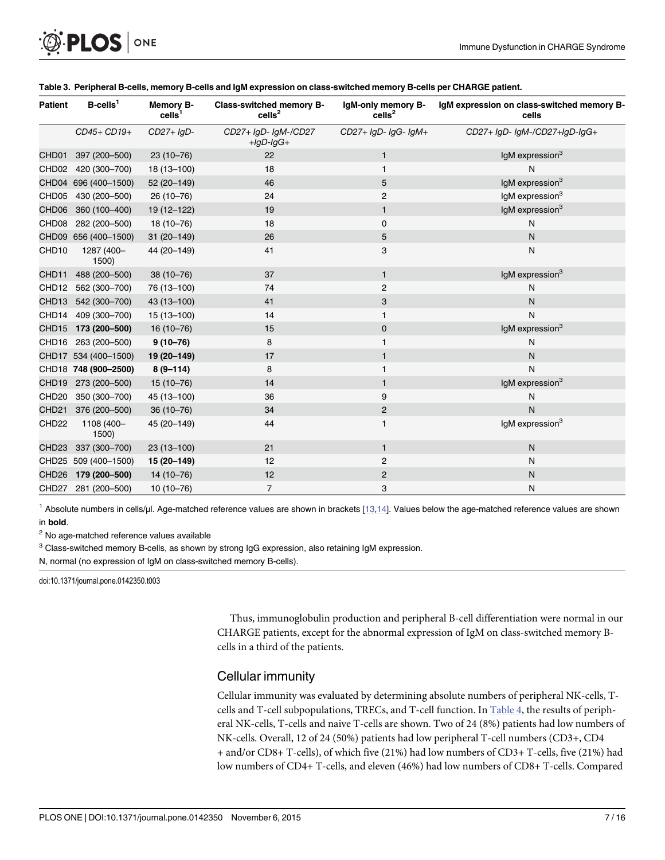<span id="page-6-0"></span>

| <b>Patient</b>    | $B$ -cells <sup>1</sup> | <b>Memory B-</b><br>cells | <b>Class-switched memory B-</b><br>$\text{cells}^2$ | IgM-only memory B-<br>$\text{cells}^2$ | IgM expression on class-switched memory B-<br>cells |
|-------------------|-------------------------|---------------------------|-----------------------------------------------------|----------------------------------------|-----------------------------------------------------|
|                   | CD45+ CD19+             | $CD27 + IgD -$            | CD27+ IgD- IgM-/CD27<br>$+lgD-lgG+$                 | $CD27+ IgD- IgG-IgM+$                  | CD27+ IgD- IgM-/CD27+IgD-IgG+                       |
| CHD01             | 397 (200-500)           | $23(10-76)$               | 22                                                  | $\mathbf{1}$                           | IgM expression <sup>3</sup>                         |
| CHD <sub>02</sub> | 420 (300-700)           | 18 (13-100)               | 18                                                  | $\mathbf{1}$                           | N                                                   |
| CHD04             | 696 (400-1500)          | 52 (20-149)               | 46                                                  | 5                                      | IgM expression <sup>3</sup>                         |
| CHD <sub>05</sub> | 430 (200-500)           | 26 (10-76)                | 24                                                  | $\overline{c}$                         | $lgM$ expression <sup>3</sup>                       |
| CHD06             | 360 (100-400)           | 19 (12-122)               | 19                                                  | $\mathbf{1}$                           | IgM expression <sup>3</sup>                         |
| CHD08             | 282 (200-500)           | 18 (10-76)                | 18                                                  | 0                                      | N                                                   |
| CHD09             | 656 (400-1500)          | 31 (20-149)               | 26                                                  | 5                                      | $\mathsf{N}$                                        |
| CHD <sub>10</sub> | 1287 (400-<br>1500)     | 44 (20-149)               | 41                                                  | 3                                      | ${\sf N}$                                           |
| CHD11             | 488 (200-500)           | $38(10 - 76)$             | 37                                                  | $\mathbf{1}$                           | IgM expression <sup>3</sup>                         |
| CHD <sub>12</sub> | 562 (300-700)           | 76 (13-100)               | 74                                                  | $\overline{c}$                         | N                                                   |
| CHD <sub>13</sub> | 542 (300-700)           | 43 (13-100)               | 41                                                  | 3                                      | $\mathsf{N}$                                        |
| CHD14             | 409 (300-700)           | $15(13 - 100)$            | 14                                                  | $\mathbf{1}$                           | N                                                   |
| CHD <sub>15</sub> | 173 (200-500)           | $16(10-76)$               | 15                                                  | 0                                      | IgM expression <sup>3</sup>                         |
| CHD <sub>16</sub> | 263 (200-500)           | $9(10-76)$                | 8                                                   | 1                                      | $\mathsf{N}$                                        |
|                   | CHD17 534 (400-1500)    | 19 (20-149)               | 17                                                  | $\mathbf{1}$                           | N                                                   |
|                   | CHD18 748 (900-2500)    | $8(9 - 114)$              | 8                                                   | 1                                      | N                                                   |
| CHD19             | 273 (200-500)           | $15(10-76)$               | 14                                                  | $\mathbf{1}$                           | IgM expression <sup>3</sup>                         |
| CHD <sub>20</sub> | 350 (300-700)           | 45 (13-100)               | 36                                                  | 9                                      | ${\sf N}$                                           |
| CHD <sub>21</sub> | 376 (200-500)           | $36(10 - 76)$             | 34                                                  | $\overline{2}$                         | $\mathsf{N}$                                        |
| CHD <sub>22</sub> | 1108 (400-<br>1500)     | 45 (20-149)               | 44                                                  | $\mathbf{1}$                           | IgM expression <sup>3</sup>                         |
| CHD23             | 337 (300-700)           | 23 (13-100)               | 21                                                  | $\mathbf{1}$                           | ${\sf N}$                                           |
|                   | CHD25 509 (400-1500)    | 15 (20-149)               | 12                                                  | $\overline{2}$                         | ${\sf N}$                                           |
| CHD <sub>26</sub> | 179 (200-500)           | 14 (10-76)                | 12                                                  | $\overline{c}$                         | N                                                   |
| CHD27             | 281 (200-500)           | $10(10-76)$               | $\overline{7}$                                      | 3                                      | ${\sf N}$                                           |

#### [Table 3.](#page-5-0) Peripheral B-cells, memory B-cells and IgM expression on class-switched memory B-cells per CHARGE patient.

 $1$  Absolute numbers in cells/µl. Age-matched reference values are shown in brackets  $[13,14]$ . Values below the age-matched reference values are shown in bold.

<sup>2</sup> No age-matched reference values available

<sup>3</sup> Class-switched memory B-cells, as shown by strong IgG expression, also retaining IgM expression.

N, normal (no expression of IgM on class-switched memory B-cells).

doi:10.1371/journal.pone.0142350.t003

Thus, immunoglobulin production and peripheral B-cell differentiation were normal in our CHARGE patients, except for the abnormal expression of IgM on class-switched memory Bcells in a third of the patients.

#### Cellular immunity

Cellular immunity was evaluated by determining absolute numbers of peripheral NK-cells, Tcells and T-cell subpopulations, TRECs, and T-cell function. In [Table 4](#page-8-0), the results of peripheral NK-cells, T-cells and naive T-cells are shown. Two of 24 (8%) patients had low numbers of NK-cells. Overall, 12 of 24 (50%) patients had low peripheral T-cell numbers (CD3+, CD4 + and/or CD8+ T-cells), of which five (21%) had low numbers of CD3+ T-cells, five (21%) had low numbers of CD4+ T-cells, and eleven (46%) had low numbers of CD8+ T-cells. Compared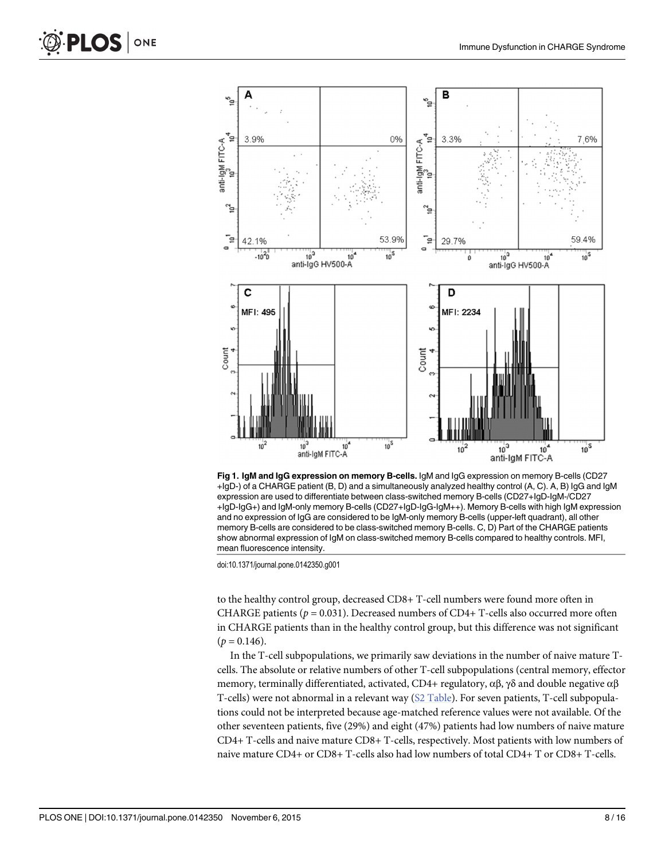<span id="page-7-0"></span>



[Fig 1. I](#page-5-0)gM and IgG expression on memory B-cells. IgM and IgG expression on memory B-cells (CD27 +IgD-) of a CHARGE patient (B, D) and a simultaneously analyzed healthy control (A, C). A, B) IgG and IgM expression are used to differentiate between class-switched memory B-cells (CD27+IgD-IgM-/CD27 +IgD-IgG+) and IgM-only memory B-cells (CD27+IgD-IgG-IgM++). Memory B-cells with high IgM expression and no expression of IgG are considered to be IgM-only memory B-cells (upper-left quadrant), all other memory B-cells are considered to be class-switched memory B-cells. C, D) Part of the CHARGE patients show abnormal expression of IgM on class-switched memory B-cells compared to healthy controls. MFI, mean fluorescence intensity.

doi:10.1371/journal.pone.0142350.g001

to the healthy control group, decreased CD8+ T-cell numbers were found more often in CHARGE patients ( $p = 0.031$ ). Decreased numbers of CD4+ T-cells also occurred more often in CHARGE patients than in the healthy control group, but this difference was not significant  $(p = 0.146)$ .

In the T-cell subpopulations, we primarily saw deviations in the number of naive mature Tcells. The absolute or relative numbers of other T-cell subpopulations (central memory, effector memory, terminally differentiated, activated, CD4+ regulatory,  $\alpha\beta$ ,  $\gamma\delta$  and double negative  $\alpha\beta$ T-cells) were not abnormal in a relevant way ( $S2$  Table). For seven patients, T-cell subpopulations could not be interpreted because age-matched reference values were not available. Of the other seventeen patients, five (29%) and eight (47%) patients had low numbers of naive mature CD4+ T-cells and naive mature CD8+ T-cells, respectively. Most patients with low numbers of naive mature CD4+ or CD8+ T-cells also had low numbers of total CD4+ T or CD8+ T-cells.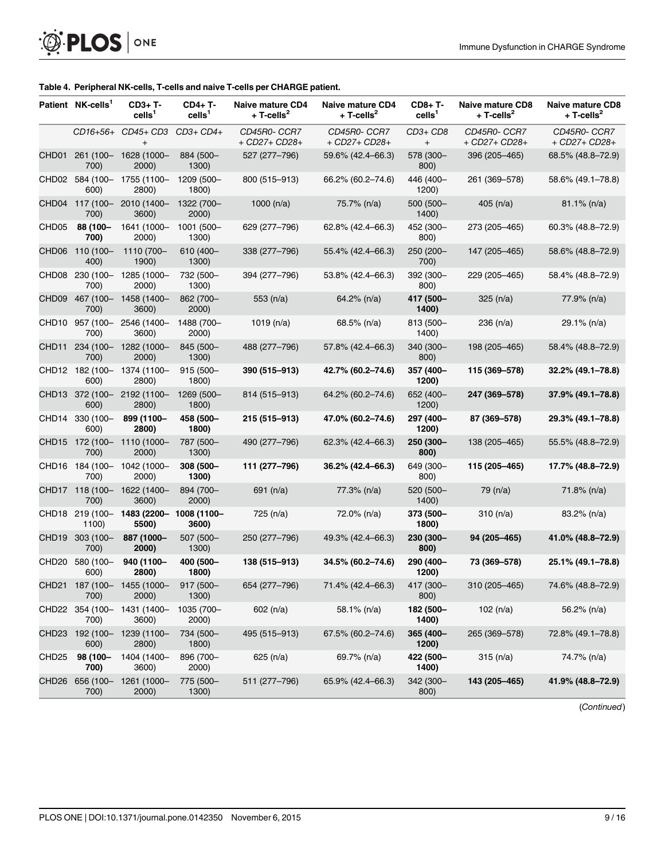<span id="page-8-0"></span>

#### [Table 4.](#page-6-0) Peripheral NK-cells, T-cells and naive T-cells per CHARGE patient.

|                   | Patient NK-cells <sup>1</sup> | CD3+ T-<br>cells <sup>1</sup>                  | $CD4+T-$<br>cells <sup>1</sup> | <b>Naive mature CD4</b><br>$+T$ -cells <sup>2</sup> | <b>Naive mature CD4</b><br>$+T$ -cells <sup>2</sup> | $CD8+T-$<br>cells <sup>1</sup> | Naive mature CD8<br>$+T$ -cells <sup>2</sup> | Naive mature CD8<br>$+T$ -cells <sup>2</sup> |
|-------------------|-------------------------------|------------------------------------------------|--------------------------------|-----------------------------------------------------|-----------------------------------------------------|--------------------------------|----------------------------------------------|----------------------------------------------|
|                   |                               | CD16+56+ CD45+ CD3                             | $CD3+CD4+$                     | CD45R0- CCR7<br>+ CD27+ CD28+                       | CD45R0-CCR7<br>+ CD27+ CD28+                        | CD3+CD8<br>$\ddot{}$           | CD45R0-CCR7<br>+ CD27+ CD28+                 | CD45R0-CCR7<br>+ CD27+ CD28+                 |
|                   | 700)                          | CHD01 261 (100- 1628 (1000-<br>2000)           | 884 (500-<br>1300)             | 527 (277-796)                                       | 59.6% (42.4–66.3)                                   | 578 (300-<br>800)              | 396 (205-465)                                | 68.5% (48.8-72.9)                            |
|                   | 600)                          | CHD02 584 (100- 1755 (1100-<br>2800)           | 1209 (500-<br>1800)            | 800 (515-913)                                       | 66.2% (60.2-74.6)                                   | 446 (400-<br>1200)             | 261 (369-578)                                | 58.6% (49.1-78.8)                            |
|                   | 700)                          | CHD04 117 (100-2010 (1400-<br>3600)            | 1322 (700-<br>2000)            | 1000 $(n/a)$                                        | 75.7% (n/a)                                         | 500 (500-<br>1400)             | 405 $(n/a)$                                  | $81.1\%$ (n/a)                               |
| CHD05             | 88 (100-<br>700)              | 1641 (1000-<br>2000)                           | 1001 (500-<br>1300)            | 629 (277-796)                                       | 62.8% (42.4–66.3)                                   | 452 (300-<br>800)              | 273 (205-465)                                | 60.3% (48.8-72.9)                            |
|                   | CHD06 110 (100-<br>400)       | 1110 (700-<br>1900)                            | 610 (400-<br>1300)             | 338 (277-796)                                       | 55.4% (42.4-66.3)                                   | 250 (200-<br>700)              | 147 (205-465)                                | 58.6% (48.8-72.9)                            |
|                   | 700)                          | CHD08 230 (100- 1285 (1000-<br>2000)           | 732 (500-<br>1300)             | 394 (277-796)                                       | 53.8% (42.4–66.3)                                   | 392 (300-<br>800)              | 229 (205-465)                                | 58.4% (48.8-72.9)                            |
|                   | 700)                          | CHD09 467 (100- 1458 (1400-<br>3600)           | 862 (700-<br>2000)             | 553(n/a)                                            | 64.2% (n/a)                                         | 417 (500-<br>1400)             | 325(n/a)                                     | 77.9% (n/a)                                  |
|                   | 700)                          | CHD10 957 (100-2546 (1400-<br>3600)            | 1488 (700-<br>2000)            | 1019 $(n/a)$                                        | 68.5% $(n/a)$                                       | 813 (500-<br>1400)             | 236 (n/a)                                    | $29.1\%$ (n/a)                               |
| CHD11             | 700)                          | 234 (100- 1282 (1000-<br>2000)                 | 845 (500-<br>1300)             | 488 (277–796)                                       | 57.8% (42.4–66.3)                                   | 340 (300-<br>800)              | 198 (205-465)                                | 58.4% (48.8-72.9)                            |
|                   | 600)                          | CHD12 182 (100- 1374 (1100-<br>2800)           | 915 (500-<br>1800)             | 390 (515-913)                                       | 42.7% (60.2-74.6)                                   | 357 (400-<br>1200)             | 115 (369-578)                                | 32.2% (49.1-78.8)                            |
|                   | 600)                          | CHD13 372 (100- 2192 (1100-<br>2800)           | 1269 (500-<br>1800)            | 814 (515-913)                                       | 64.2% (60.2-74.6)                                   | 652 (400-<br>1200)             | 247 (369-578)                                | 37.9% (49.1-78.8)                            |
|                   | CHD14 330 (100-<br>600)       | 899 (1100-<br>2800)                            | 458 (500-<br>1800)             | 215 (515-913)                                       | 47.0% (60.2-74.6)                                   | 297 (400-<br>1200)             | 87 (369-578)                                 | 29.3% (49.1-78.8)                            |
|                   | 700)                          | CHD15 172 (100- 1110 (1000-<br>2000)           | 787 (500-<br>1300)             | 490 (277-796)                                       | 62.3% (42.4–66.3)                                   | 250 (300-<br>800)              | 138 (205-465)                                | 55.5% (48.8-72.9)                            |
|                   | 700)                          | CHD16 184 (100- 1042 (1000-<br>2000)           | 308 (500-<br>1300)             | 111 (277-796)                                       | 36.2% (42.4–66.3)                                   | 649 (300-<br>800)              | 115 (205-465)                                | 17.7% (48.8-72.9)                            |
|                   | 700)                          | CHD17 118 (100- 1622 (1400-<br>3600)           | 894 (700-<br>2000)             | 691 $(n/a)$                                         | 77.3% (n/a)                                         | 520 (500-<br>1400)             | 79 $(n/a)$                                   | 71.8% (n/a)                                  |
|                   | 1100)                         | CHD18 219 (100-1483 (2200-1008 (1100-<br>5500) | 3600)                          | 725 (n/a)                                           | 72.0% (n/a)                                         | 373 (500-<br>1800)             | 310(n/a)                                     | $83.2\%$ (n/a)                               |
|                   | CHD19 303 (100-<br>700)       | 887 (1000-<br>2000)                            | 507 (500-<br>1300)             | 250 (277-796)                                       | 49.3% (42.4-66.3)                                   | 230 (300-<br>800)              | 94 (205-465)                                 | 41.0% (48.8–72.9)                            |
|                   | CHD20 580 (100-<br>600)       | 940 (1100-<br>2800)                            | 400 (500–<br>1800)             | 138 (515-913)                                       | 34.5% (60.2-74.6)                                   | 290 (400-<br>1200)             | 73 (369-578)                                 | 25.1% (49.1-78.8)                            |
|                   | 700)                          | CHD21 187 (100- 1455 (1000-<br>2000)           | 917 (500-<br>1300)             | 654 (277-796)                                       | 71.4% (42.4-66.3)                                   | 417 (300-<br>800)              | 310 (205-465)                                | 74.6% (48.8-72.9)                            |
|                   | 700)                          | CHD22 354 (100- 1431 (1400-<br>3600)           | 1035 (700-<br>2000)            | 602 (n/a)                                           | 58.1% (n/a)                                         | 182 (500-<br>1400)             | 102 $(n/a)$                                  | 56.2% (n/a)                                  |
|                   | CHD23 192 (100-<br>600)       | 1239 (1100-<br>2800)                           | 734 (500-<br>1800)             | 495 (515-913)                                       | 67.5% (60.2-74.6)                                   | 365 (400-<br>1200)             | 265 (369-578)                                | 72.8% (49.1-78.8)                            |
| CHD <sub>25</sub> | 98 (100-<br>700)              | 1404 (1400-<br>3600)                           | 896 (700-<br>2000)             | 625 (n/a)                                           | 69.7% (n/a)                                         | 422 (500-<br>1400)             | 315(n/a)                                     | 74.7% (n/a)                                  |
| CHD26             | 700)                          | 656 (100-1261 (1000-<br>2000)                  | 775 (500-<br>1300)             | 511 (277-796)                                       | 65.9% (42.4–66.3)                                   | 342 (300-<br>800)              | 143 (205-465)                                | 41.9% (48.8-72.9)                            |

(Continued)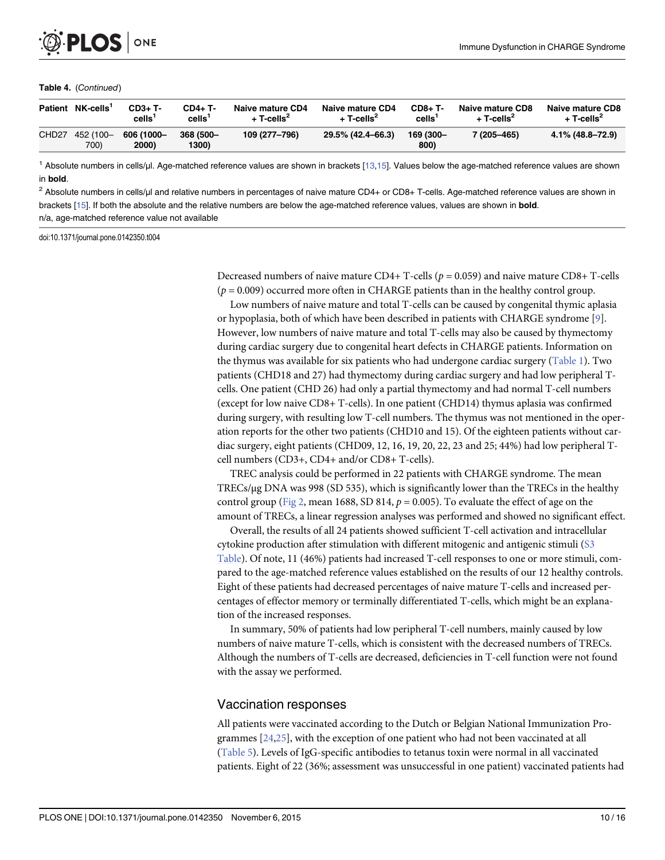Table 4. (Continued)

<span id="page-9-0"></span>**PLOS** I

|                   | Patient NK-cells <sup>1</sup> | $CD3+T-$<br>cells'  | CD4+ T-<br>cells'  | Naive mature CD4<br>$+$ T-cells <sup>2</sup> | Naive mature CD4<br>$+$ T-cells <sup>2</sup> | $CD8+T-$<br>cells' | Naive mature CD8<br>$+$ T-cells <sup>2</sup> | Naive mature CD8<br>$+T$ -cells <sup>2</sup> |
|-------------------|-------------------------------|---------------------|--------------------|----------------------------------------------|----------------------------------------------|--------------------|----------------------------------------------|----------------------------------------------|
| CHD <sub>27</sub> | 452 (100-<br>700)             | 606 (1000-<br>2000) | 368 (500-<br>1300) | 109 (277-796)                                | 29.5% (42.4–66.3)                            | 169 (300-<br>800)  | 7 (205-465)                                  | 4.1% (48.8–72.9)                             |

 $1$  Absolute numbers in cells/µl. Age-matched reference values are shown in brackets [ $13,15$ ]. Values below the age-matched reference values are shown in bold.

<sup>2</sup> Absolute numbers in cells/μl and relative numbers in percentages of naive mature CD4+ or CD8+ T-cells. Age-matched reference values are shown in brackets [\[15](#page-14-0)]. If both the absolute and the relative numbers are below the age-matched reference values, values are shown in **bold**. n/a, age-matched reference value not available

doi:10.1371/journal.pone.0142350.t004

ONE

Decreased numbers of naive mature CD4+ T-cells ( $p = 0.059$ ) and naive mature CD8+ T-cells  $(p = 0.009)$  occurred more often in CHARGE patients than in the healthy control group.

Low numbers of naive mature and total T-cells can be caused by congenital thymic aplasia or hypoplasia, both of which have been described in patients with CHARGE syndrome [\[9](#page-14-0)]. However, low numbers of naive mature and total T-cells may also be caused by thymectomy during cardiac surgery due to congenital heart defects in CHARGE patients. Information on the thymus was available for six patients who had undergone cardiac surgery ([Table 1\)](#page-4-0). Two patients (CHD18 and 27) had thymectomy during cardiac surgery and had low peripheral Tcells. One patient (CHD 26) had only a partial thymectomy and had normal T-cell numbers (except for low naive CD8+ T-cells). In one patient (CHD14) thymus aplasia was confirmed during surgery, with resulting low T-cell numbers. The thymus was not mentioned in the operation reports for the other two patients (CHD10 and 15). Of the eighteen patients without cardiac surgery, eight patients (CHD09, 12, 16, 19, 20, 22, 23 and 25; 44%) had low peripheral Tcell numbers (CD3+, CD4+ and/or CD8+ T-cells).

TREC analysis could be performed in 22 patients with CHARGE syndrome. The mean TRECs/μg DNA was 998 (SD 535), which is significantly lower than the TRECs in the healthy control group [\(Fig 2,](#page-10-0) mean 1688, SD 814,  $p = 0.005$ ). To evaluate the effect of age on the amount of TRECs, a linear regression analyses was performed and showed no significant effect.

Overall, the results of all 24 patients showed sufficient T-cell activation and intracellular cytokine production after stimulation with different mitogenic and antigenic stimuli [\(S3](#page-13-0) [Table](#page-13-0)). Of note, 11 (46%) patients had increased T-cell responses to one or more stimuli, compared to the age-matched reference values established on the results of our 12 healthy controls. Eight of these patients had decreased percentages of naive mature T-cells and increased percentages of effector memory or terminally differentiated T-cells, which might be an explanation of the increased responses.

In summary, 50% of patients had low peripheral T-cell numbers, mainly caused by low numbers of naive mature T-cells, which is consistent with the decreased numbers of TRECs. Although the numbers of T-cells are decreased, deficiencies in T-cell function were not found with the assay we performed.

#### Vaccination responses

All patients were vaccinated according to the Dutch or Belgian National Immunization Programmes [\[24,25\]](#page-15-0), with the exception of one patient who had not been vaccinated at all [\(Table 5\)](#page-11-0). Levels of IgG-specific antibodies to tetanus toxin were normal in all vaccinated patients. Eight of 22 (36%; assessment was unsuccessful in one patient) vaccinated patients had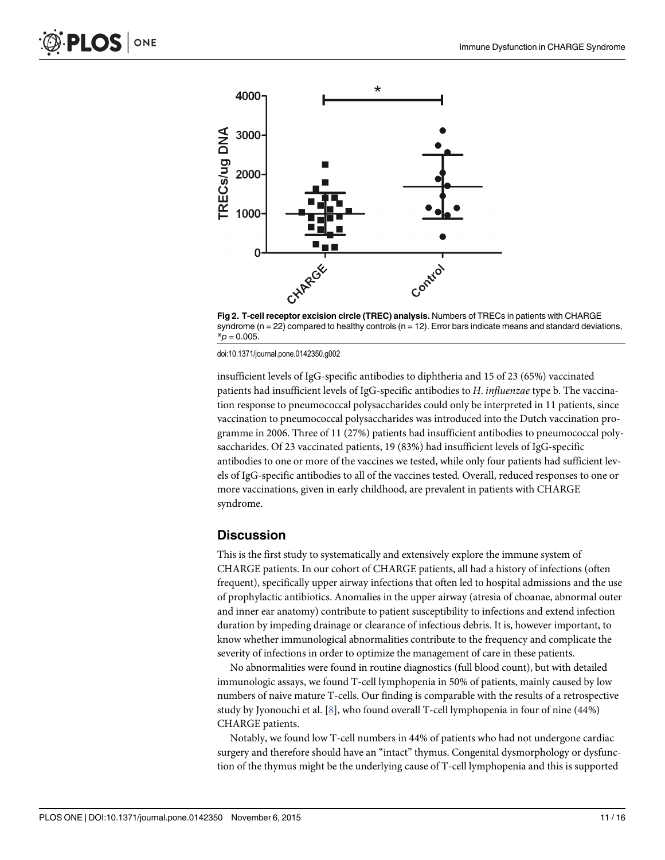<span id="page-10-0"></span>

[Fig 2. T](#page-9-0)-cell receptor excision circle (TREC) analysis. Numbers of TRECs in patients with CHARGE syndrome ( $n = 22$ ) compared to healthy controls ( $n = 12$ ). Error bars indicate means and standard deviations,  $*_{p} = 0.005$ .

doi:10.1371/journal.pone.0142350.g002

insufficient levels of IgG-specific antibodies to diphtheria and 15 of 23 (65%) vaccinated patients had insufficient levels of IgG-specific antibodies to H. influenzae type b. The vaccination response to pneumococcal polysaccharides could only be interpreted in 11 patients, since vaccination to pneumococcal polysaccharides was introduced into the Dutch vaccination programme in 2006. Three of 11 (27%) patients had insufficient antibodies to pneumococcal polysaccharides. Of 23 vaccinated patients, 19 (83%) had insufficient levels of IgG-specific antibodies to one or more of the vaccines we tested, while only four patients had sufficient levels of IgG-specific antibodies to all of the vaccines tested. Overall, reduced responses to one or more vaccinations, given in early childhood, are prevalent in patients with CHARGE syndrome.

#### **Discussion**

This is the first study to systematically and extensively explore the immune system of CHARGE patients. In our cohort of CHARGE patients, all had a history of infections (often frequent), specifically upper airway infections that often led to hospital admissions and the use of prophylactic antibiotics. Anomalies in the upper airway (atresia of choanae, abnormal outer and inner ear anatomy) contribute to patient susceptibility to infections and extend infection duration by impeding drainage or clearance of infectious debris. It is, however important, to know whether immunological abnormalities contribute to the frequency and complicate the severity of infections in order to optimize the management of care in these patients.

No abnormalities were found in routine diagnostics (full blood count), but with detailed immunologic assays, we found T-cell lymphopenia in 50% of patients, mainly caused by low numbers of naive mature T-cells. Our finding is comparable with the results of a retrospective study by Jyonouchi et al.  $[8]$  $[8]$  $[8]$ , who found overall T-cell lymphopenia in four of nine (44%) CHARGE patients.

Notably, we found low T-cell numbers in 44% of patients who had not undergone cardiac surgery and therefore should have an "intact" thymus. Congenital dysmorphology or dysfunction of the thymus might be the underlying cause of T-cell lymphopenia and this is supported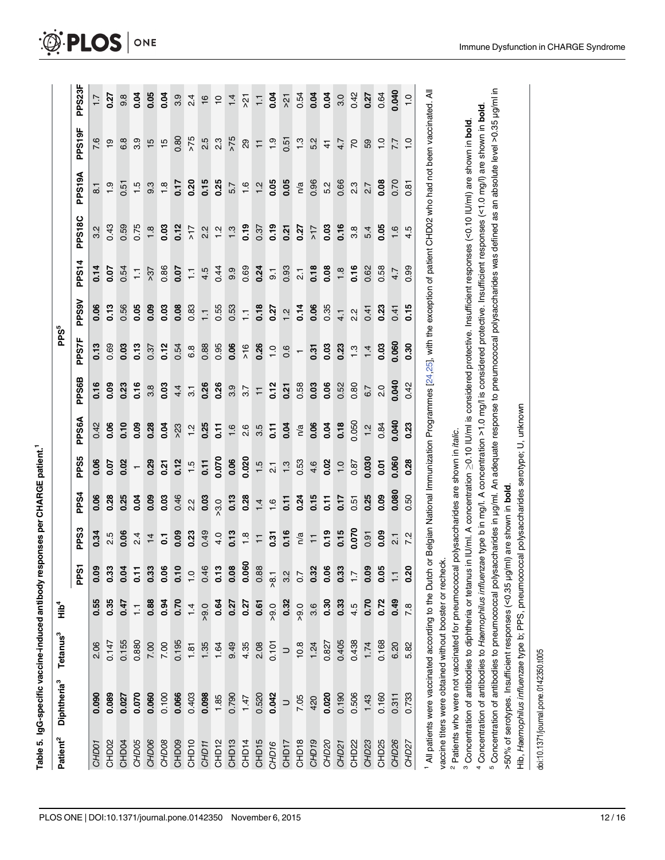| í<br>ا<br>ا    |
|----------------|
| $\overline{1}$ |
|                |
|                |
|                |
|                |
|                |
|                |
|                |
|                |
|                |

<span id="page-11-0"></span>

| Patient <sup>2</sup> | Diphtheria <sup>3</sup>                                                                                                                                                                 | Tetanus <sup>3</sup> | а<br>Нін       |                  |                        |                   |                   |                   |                          | PPS <sup>5</sup> |                |                 |                                                                                                                                                       |                  |                |                  |
|----------------------|-----------------------------------------------------------------------------------------------------------------------------------------------------------------------------------------|----------------------|----------------|------------------|------------------------|-------------------|-------------------|-------------------|--------------------------|------------------|----------------|-----------------|-------------------------------------------------------------------------------------------------------------------------------------------------------|------------------|----------------|------------------|
|                      |                                                                                                                                                                                         |                      |                | <b>PPS1</b>      | PPS3                   | PP <sub>S4</sub>  | PPS5              | <b>PPS6A</b>      | PPS6B                    | <b>PPS7F</b>     | <b>PPS9V</b>   | PPS14           | PPS <sub>18C</sub>                                                                                                                                    | PPS19A           | PPS19F         | PPS23F           |
| CHDOT                | 0.090                                                                                                                                                                                   | 2.06                 | 0.55           | 0.09             | 0.34                   | 0.06              | 0.06              | 0.42              | 0.16                     | 0.13             | 0.06           | 0.14            | 3.2                                                                                                                                                   | $\overline{8}$   | 7.6            | $\overline{1}$ . |
| CHD <sub>02</sub>    | 0.089                                                                                                                                                                                   | 0.147                | 0.35           | 0.33             | 2.5                    | 0.28              | 0.07              | 0.06              | 0.09                     | 0.69             | 0.13           | 0.07            | 0.43                                                                                                                                                  | $\frac{0}{1}$    | $\overline{e}$ | 0.27             |
| CHD <sub>04</sub>    | 0.027                                                                                                                                                                                   | 0.155                | 0.47           | 0.04             | 0.06                   | 0.25              | 0.02              | 0.10              | 0.23                     | 0.03             | 0.56           | 0.54            | 0.59                                                                                                                                                  | 0.51             | 6.8            | $\frac{8}{9}$    |
| CHD05                | 0.070                                                                                                                                                                                   | 0.880                | $\overline{1}$ | $\overline{1}$   | 2.4                    | 0.04              | $\leftarrow$      | 0.09              | 0.16                     | 0.13             | 0.05           | $\overline{1}$  | 0.75                                                                                                                                                  | 1.5              | 3.9            | 0.04             |
| CHD06                | 0.060                                                                                                                                                                                   | 7.00                 | 0.88           | 0.33             | $\overline{1}$         | 0.09              | 0.29              | 0.28              | 3.8                      | 0.37             | 0.09           | $-82$           | 1.8                                                                                                                                                   | 9.3              | 15             | 0.05             |
| CHD08                | 0.100                                                                                                                                                                                   | 7.00                 | 0.94           | 0.06             | 5                      | 0.03              | 0.21              | 0.04              | 0.03                     | 0.12             | 0.03           | 0.86            | 0.03                                                                                                                                                  | $\frac{8}{1}$    | $\frac{15}{2}$ | 0.04             |
| CHD <sub>09</sub>    | 0.066                                                                                                                                                                                   | 0.195                | 0.70           | 0.10             | 0.09                   | 0.46              | 0.12              | >23               | 4.4                      | 0.54             | 0.08           | 0.07            | 0.12                                                                                                                                                  | 0.17             | 0.80           | 3.9              |
| CHD <sub>10</sub>    | 0.403                                                                                                                                                                                   | 1.81                 | 14             | $\frac{0}{1}$    | 0.23                   | $2.\overline{2}$  | 1.5               | $\frac{2}{1}$     | $\overline{\mathcal{E}}$ | $6.\overline{8}$ | 0.83           | H               | 71                                                                                                                                                    | 0.20             | >75            | $^{2.4}$         |
| CHD <sub>11</sub>    | 0.098                                                                                                                                                                                   | 1.35                 | $-9.0$         | 0.46             | 0.49                   | 0.03              | 0.11              | 0.25              | 0.26                     | 0.88             | $\overline{1}$ | 4.5             | 2.2                                                                                                                                                   | 0.15             | 2.5            | $\frac{6}{1}$    |
| CHD <sub>12</sub>    | 1.85                                                                                                                                                                                    | 1.64                 | 0.64           | 0.13             | 4.0                    | >3.0              | 0.070             | 0.11              | 0.26                     | 0.95             | 0.55           | 0.44            | $\frac{2}{1}$                                                                                                                                         | 0.25             | 2.3            | $\overline{C}$   |
| CHD <sub>13</sub>    | 0.790                                                                                                                                                                                   | 9.49                 | 0.27           | 0.08             | 0.13                   | 0.13              | 0.06              | 1.6               | 3.9                      | 0.06             | 0.53           | 9.9             | 1.3                                                                                                                                                   | 5.7              | 522 <          | 1.4              |
| CHD <sub>14</sub>    | 1.47                                                                                                                                                                                    | 4.35                 | 0.27           | ٥<br>0.06        | $\frac{8}{1}$          | 0.28              | 0.020             | 2.6               | 5.7                      | >16              | $\overline{1}$ | 0.69            | 0.19                                                                                                                                                  | 1.6              | 29             | $\overline{5}$   |
| CHD <sub>15</sub>    | 0.520                                                                                                                                                                                   | 2.08                 | 0.61           | 0.88             | $\overline{1}$         | 1.4               | 1.5               | 3.5               | $\overline{1}$           | 0.26             | 0.18           | 0.24            | 0.37                                                                                                                                                  | 1.2              | $\overline{+}$ | H                |
| CHD <sub>16</sub>    | 0.042                                                                                                                                                                                   | 0.101                | 2.6<           | >8.1             | 0.31                   | 1.6               | $\overline{2}$    | $\overline{0.11}$ | 0.12                     | $\frac{0}{1}$    | 0.27           | $\overline{9}$  | 0.19                                                                                                                                                  | 0.05             | $\frac{0}{1}$  | 0.04             |
| CHD <sub>17</sub>    | $\Rightarrow$                                                                                                                                                                           | $\Rightarrow$        | 0.32           | 32               | 0.16                   | 0.11              | $\frac{3}{1}$     | 0.04              | 0.21                     | 0.6              | $\frac{1}{2}$  | 0.93            | 0.21                                                                                                                                                  | 0.05             | 0.51           | $\overline{5}$   |
| CHD <sub>18</sub>    | 7.05                                                                                                                                                                                    | 10.8                 | $-9.0$         | 0.7              | n/a                    | 0.24              | 0.53              | n/a               | 0.58                     | $\leftarrow$     | 0.14           | $\overline{21}$ | 0.27                                                                                                                                                  | n/a              | 1.3            | 0.54             |
| CHD <sub>19</sub>    | 420                                                                                                                                                                                     | 1.24                 | 3.6            | 0.32             |                        | 0.15              | 4.6               | 0.06              | 0.03                     | 0.31             | 0.06           | 0.18            | 71                                                                                                                                                    | 0.96             | 5.2            | 0.04             |
| CHD <sub>20</sub>    | 0.020                                                                                                                                                                                   | 0.827                | 0.30           | 0.06             | 0.19                   | $\overline{0.11}$ | 0.02              | 0.04              | 0.06                     | 0.03             | 0.35           | 0.08            | 0.03                                                                                                                                                  | 5.2              | $\frac{4}{3}$  | 0.04             |
| CH <sub>D21</sub>    | 0.190                                                                                                                                                                                   | 0.405                | 0.33           | 0.33             | 0.15                   | 0.17              | $\overline{1}$ .0 | 0.18              | 0.52                     | 0.23             | 4.1            | $\frac{8}{1}$   | 0.16                                                                                                                                                  | 0.66             | 4.7            | 3.0              |
| CHD <sub>22</sub>    | 0.506                                                                                                                                                                                   | 0.438                | 4.5            | $\overline{1}$ . | 0.070                  | 0.51              | 0.87              | 0.050             | 0.80                     | $\frac{3}{1}$    | 2.2            | 0.16            | 3.8                                                                                                                                                   | $2.\overline{3}$ | $\overline{C}$ | 0.42             |
| CHD <sub>23</sub>    | 1.43                                                                                                                                                                                    | 1.74                 | 0.70           | 0.09             | 0.91                   | 0.25              | 0.030             | $\frac{2}{1}$     | 6.7                      | 1.4              | 0.41           | 0.62            | 5.4                                                                                                                                                   | 2.7              | 59             | 0.27             |
| CHD <sub>25</sub>    | 0.160                                                                                                                                                                                   | 0.168                | 0.72           | 0.05             | 0.09                   | 0.09              | 0.01              | 0.84              | 2.0                      | 0.03             | 0.23           | 0.58            | 0.05                                                                                                                                                  | 0.08             | $\frac{0}{1}$  | 0.64             |
| CHD <sub>26</sub>    | 0.311                                                                                                                                                                                   | 6.20                 | 0.49           | $\overline{1}$   | $\overline{21}$        | 0.080             | 0.060             | 0.040             | 0.040                    | 0.060            | 0.41           | 4.7             | 1.6                                                                                                                                                   | 0.70             | 7.7            | 0.040            |
| CHD27                | 0.733                                                                                                                                                                                   | 5.82                 | 7.8            | 0.20             | 72                     | 0.50              | 0.28              | 0.23              | 0.42                     | 0.30             | 0.15           | 0.99            | 4.5                                                                                                                                                   | 0.81             | $\frac{1}{2}$  | $\frac{0}{1}$    |
|                      | 1 All patients were vaccinated according to the Dutch                                                                                                                                   |                      |                |                  |                        |                   |                   |                   |                          |                  |                |                 | or Belgian National Immunization Programmes $[\underline{24}, \underline{25}]$ , with the exception of patient CHD02 who had not been vaccinated. All |                  |                |                  |
|                      | vaccine titers were obtained without booster or recheck.                                                                                                                                |                      |                |                  |                        |                   |                   |                   |                          |                  |                |                 |                                                                                                                                                       |                  |                |                  |
|                      | <sup>2</sup> Patients who were not vaccinated for pneumococcal polysaccharides are shown in italic.                                                                                     |                      |                |                  |                        |                   |                   |                   |                          |                  |                |                 |                                                                                                                                                       |                  |                |                  |
|                      | <sup>3</sup> Concentration of antibodies to diphtheria or tetanus                                                                                                                       |                      |                |                  |                        |                   |                   |                   |                          |                  |                |                 | in IU/ml. A concentration ≥0.10 IU/ml is considered protective. Insufficient responses (<0.10 IU/ml) are shown in bold                                |                  |                |                  |
|                      | 4 Concentration of antibodies to Haemophilus influenzae type b in mg/l. A concentration >1.0 mg/l is considered protective. Insufficient responses (<1.0 mg/l) are shown in bold        |                      |                |                  |                        |                   |                   |                   |                          |                  |                |                 |                                                                                                                                                       |                  |                |                  |
|                      | <sup>5</sup> Concentration of antibodies to pneumococcal polysaccharides in µg/ml. An adequate response to pneumococcal polysaccharides was defined as an absolute level >0.35 µg/ml in |                      |                |                  |                        |                   |                   |                   |                          |                  |                |                 |                                                                                                                                                       |                  |                |                  |
|                      | >50% of serotypes. Insufficient responses (<0.35 µg/                                                                                                                                    |                      |                |                  | ml) are shown in bold. |                   |                   |                   |                          |                  |                |                 |                                                                                                                                                       |                  |                |                  |

doi:10.1371/journal.pone.0142350.t005 doi:10.1371/journal.pone.0142350.t005

Hib, Haemophilus influenzae type b; PPS, pneumococcal polysaccharides serotype; U, unknown

Hib, Haemophilus influenzae type b; PPS, pneumococcal polysaccharides serotype; U, unknown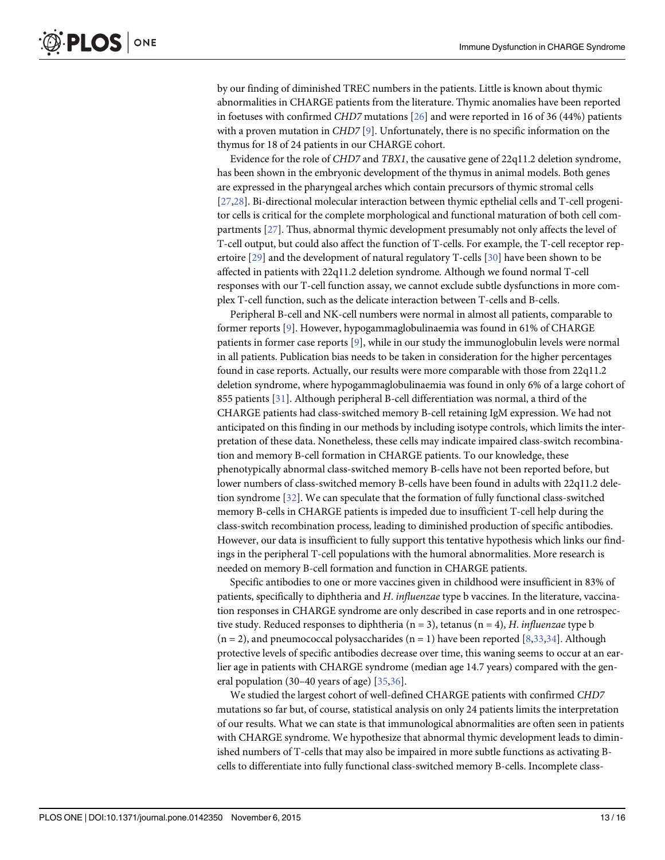<span id="page-12-0"></span>by our finding of diminished TREC numbers in the patients. Little is known about thymic abnormalities in CHARGE patients from the literature. Thymic anomalies have been reported in foetuses with confirmed CHD7 mutations [\[26\]](#page-15-0) and were reported in 16 of 36 (44%) patients with a proven mutation in CHD7 [[9\]](#page-14-0). Unfortunately, there is no specific information on the thymus for 18 of 24 patients in our CHARGE cohort.

Evidence for the role of CHD7 and TBX1, the causative gene of 22q11.2 deletion syndrome, has been shown in the embryonic development of the thymus in animal models. Both genes are expressed in the pharyngeal arches which contain precursors of thymic stromal cells [\[27,28\]](#page-15-0). Bi-directional molecular interaction between thymic epthelial cells and T-cell progenitor cells is critical for the complete morphological and functional maturation of both cell compartments [\[27\]](#page-15-0). Thus, abnormal thymic development presumably not only affects the level of T-cell output, but could also affect the function of T-cells. For example, the T-cell receptor repertoire [[29\]](#page-15-0) and the development of natural regulatory T-cells [\[30\]](#page-15-0) have been shown to be affected in patients with 22q11.2 deletion syndrome. Although we found normal T-cell responses with our T-cell function assay, we cannot exclude subtle dysfunctions in more complex T-cell function, such as the delicate interaction between T-cells and B-cells.

Peripheral B-cell and NK-cell numbers were normal in almost all patients, comparable to former reports [[9](#page-14-0)]. However, hypogammaglobulinaemia was found in 61% of CHARGE patients in former case reports [\[9](#page-14-0)], while in our study the immunoglobulin levels were normal in all patients. Publication bias needs to be taken in consideration for the higher percentages found in case reports. Actually, our results were more comparable with those from 22q11.2 deletion syndrome, where hypogammaglobulinaemia was found in only 6% of a large cohort of 855 patients [[31](#page-15-0)]. Although peripheral B-cell differentiation was normal, a third of the CHARGE patients had class-switched memory B-cell retaining IgM expression. We had not anticipated on this finding in our methods by including isotype controls, which limits the interpretation of these data. Nonetheless, these cells may indicate impaired class-switch recombination and memory B-cell formation in CHARGE patients. To our knowledge, these phenotypically abnormal class-switched memory B-cells have not been reported before, but lower numbers of class-switched memory B-cells have been found in adults with 22q11.2 deletion syndrome [[32](#page-15-0)]. We can speculate that the formation of fully functional class-switched memory B-cells in CHARGE patients is impeded due to insufficient T-cell help during the class-switch recombination process, leading to diminished production of specific antibodies. However, our data is insufficient to fully support this tentative hypothesis which links our findings in the peripheral T-cell populations with the humoral abnormalities. More research is needed on memory B-cell formation and function in CHARGE patients.

Specific antibodies to one or more vaccines given in childhood were insufficient in 83% of patients, specifically to diphtheria and H. influenzae type b vaccines. In the literature, vaccination responses in CHARGE syndrome are only described in case reports and in one retrospective study. Reduced responses to diphtheria ( $n = 3$ ), tetanus ( $n = 4$ ), H. *influenzae* type b  $(n = 2)$ , and pneumococcal polysaccharides  $(n = 1)$  have been reported [\[8](#page-14-0)[,33,34\]](#page-15-0). Although protective levels of specific antibodies decrease over time, this waning seems to occur at an earlier age in patients with CHARGE syndrome (median age 14.7 years) compared with the gen-eral population (30–40 years of age) [[35,36\]](#page-15-0).

We studied the largest cohort of well-defined CHARGE patients with confirmed CHD7 mutations so far but, of course, statistical analysis on only 24 patients limits the interpretation of our results. What we can state is that immunological abnormalities are often seen in patients with CHARGE syndrome. We hypothesize that abnormal thymic development leads to diminished numbers of T-cells that may also be impaired in more subtle functions as activating Bcells to differentiate into fully functional class-switched memory B-cells. Incomplete class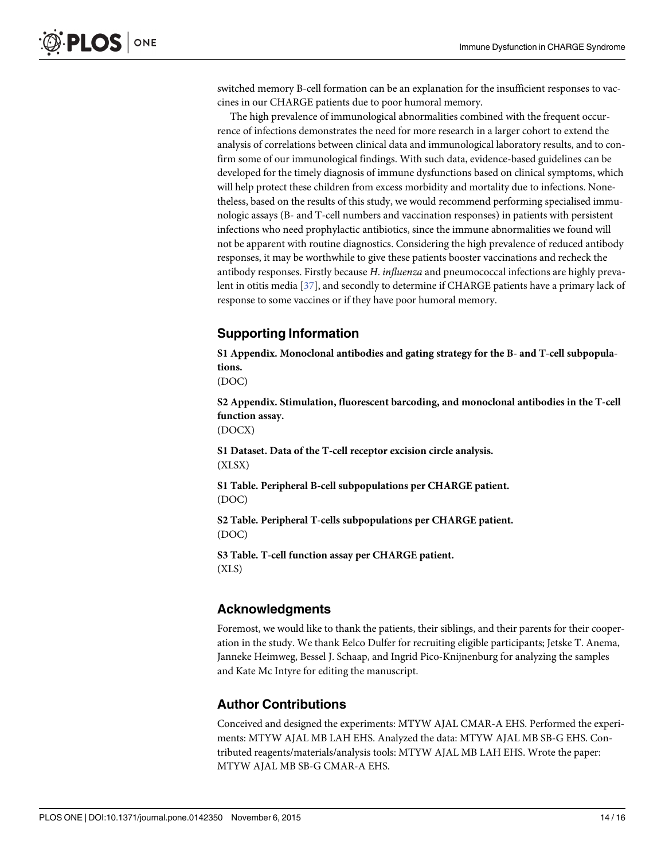<span id="page-13-0"></span>switched memory B-cell formation can be an explanation for the insufficient responses to vaccines in our CHARGE patients due to poor humoral memory.

The high prevalence of immunological abnormalities combined with the frequent occurrence of infections demonstrates the need for more research in a larger cohort to extend the analysis of correlations between clinical data and immunological laboratory results, and to confirm some of our immunological findings. With such data, evidence-based guidelines can be developed for the timely diagnosis of immune dysfunctions based on clinical symptoms, which will help protect these children from excess morbidity and mortality due to infections. Nonetheless, based on the results of this study, we would recommend performing specialised immunologic assays (B- and T-cell numbers and vaccination responses) in patients with persistent infections who need prophylactic antibiotics, since the immune abnormalities we found will not be apparent with routine diagnostics. Considering the high prevalence of reduced antibody responses, it may be worthwhile to give these patients booster vaccinations and recheck the antibody responses. Firstly because H. *influenza* and pneumococcal infections are highly prevalent in otitis media [[37](#page-15-0)], and secondly to determine if CHARGE patients have a primary lack of response to some vaccines or if they have poor humoral memory.

# Supporting Information

[S1 Appendix.](http://www.plosone.org/article/fetchSingleRepresentation.action?uri=info:doi/10.1371/journal.pone.0142350.s001) Monoclonal antibodies and gating strategy for the B- and T-cell subpopulations.

(DOC)

[S2 Appendix.](http://www.plosone.org/article/fetchSingleRepresentation.action?uri=info:doi/10.1371/journal.pone.0142350.s002) Stimulation, fluorescent barcoding, and monoclonal antibodies in the T-cell function assay.

(DOCX)

[S1 Dataset.](http://www.plosone.org/article/fetchSingleRepresentation.action?uri=info:doi/10.1371/journal.pone.0142350.s003) Data of the T-cell receptor excision circle analysis. (XLSX)

[S1 Table](http://www.plosone.org/article/fetchSingleRepresentation.action?uri=info:doi/10.1371/journal.pone.0142350.s004). Peripheral B-cell subpopulations per CHARGE patient. (DOC)

[S2 Table](http://www.plosone.org/article/fetchSingleRepresentation.action?uri=info:doi/10.1371/journal.pone.0142350.s005). Peripheral T-cells subpopulations per CHARGE patient. (DOC)

[S3 Table](http://www.plosone.org/article/fetchSingleRepresentation.action?uri=info:doi/10.1371/journal.pone.0142350.s006). T-cell function assay per CHARGE patient. (XLS)

# Acknowledgments

Foremost, we would like to thank the patients, their siblings, and their parents for their cooperation in the study. We thank Eelco Dulfer for recruiting eligible participants; Jetske T. Anema, Janneke Heimweg, Bessel J. Schaap, and Ingrid Pico-Knijnenburg for analyzing the samples and Kate Mc Intyre for editing the manuscript.

#### Author Contributions

Conceived and designed the experiments: MTYW AJAL CMAR-A EHS. Performed the experiments: MTYW AJAL MB LAH EHS. Analyzed the data: MTYW AJAL MB SB-G EHS. Contributed reagents/materials/analysis tools: MTYW AJAL MB LAH EHS. Wrote the paper: MTYW AJAL MB SB-G CMAR-A EHS.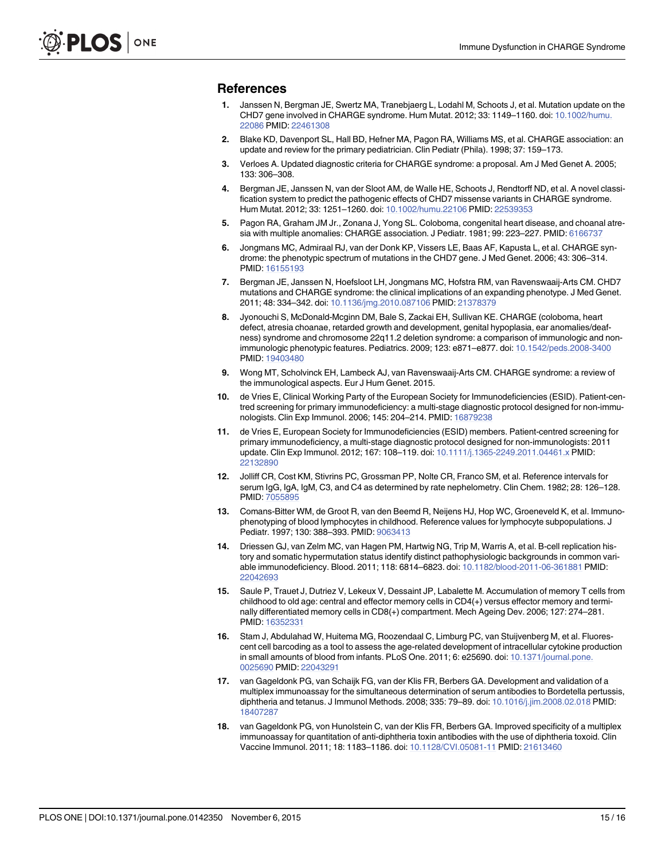#### <span id="page-14-0"></span>References

- [1.](#page-1-0) Janssen N, Bergman JE, Swertz MA, Tranebjaerg L, Lodahl M, Schoots J, et al. Mutation update on the CHD7 gene involved in CHARGE syndrome. Hum Mutat. 2012; 33: 1149–1160. doi: [10.1002/humu.](http://dx.doi.org/10.1002/humu.22086) [22086](http://dx.doi.org/10.1002/humu.22086) PMID: [22461308](http://www.ncbi.nlm.nih.gov/pubmed/22461308)
- [2.](#page-1-0) Blake KD, Davenport SL, Hall BD, Hefner MA, Pagon RA, Williams MS, et al. CHARGE association: an update and review for the primary pediatrician. Clin Pediatr (Phila). 1998; 37: 159–173.
- [3.](#page-1-0) Verloes A. Updated diagnostic criteria for CHARGE syndrome: a proposal. Am J Med Genet A. 2005; 133: 306–308.
- [4.](#page-1-0) Bergman JE, Janssen N, van der Sloot AM, de Walle HE, Schoots J, Rendtorff ND, et al. A novel classification system to predict the pathogenic effects of CHD7 missense variants in CHARGE syndrome. Hum Mutat. 2012; 33: 1251–1260. doi: [10.1002/humu.22106](http://dx.doi.org/10.1002/humu.22106) PMID: [22539353](http://www.ncbi.nlm.nih.gov/pubmed/22539353)
- [5.](#page-1-0) Pagon RA, Graham JM Jr., Zonana J, Yong SL. Coloboma, congenital heart disease, and choanal atresia with multiple anomalies: CHARGE association. J Pediatr. 1981; 99: 223–227. PMID: [6166737](http://www.ncbi.nlm.nih.gov/pubmed/6166737)
- [6.](#page-1-0) Jongmans MC, Admiraal RJ, van der Donk KP, Vissers LE, Baas AF, Kapusta L, et al. CHARGE syndrome: the phenotypic spectrum of mutations in the CHD7 gene. J Med Genet. 2006; 43: 306–314. PMID: [16155193](http://www.ncbi.nlm.nih.gov/pubmed/16155193)
- [7.](#page-1-0) Bergman JE, Janssen N, Hoefsloot LH, Jongmans MC, Hofstra RM, van Ravenswaaij-Arts CM. CHD7 mutations and CHARGE syndrome: the clinical implications of an expanding phenotype. J Med Genet. 2011; 48: 334–342. doi: [10.1136/jmg.2010.087106](http://dx.doi.org/10.1136/jmg.2010.087106) PMID: [21378379](http://www.ncbi.nlm.nih.gov/pubmed/21378379)
- [8.](#page-1-0) Jyonouchi S, McDonald-Mcginn DM, Bale S, Zackai EH, Sullivan KE. CHARGE (coloboma, heart defect, atresia choanae, retarded growth and development, genital hypoplasia, ear anomalies/deafness) syndrome and chromosome 22q11.2 deletion syndrome: a comparison of immunologic and nonimmunologic phenotypic features. Pediatrics. 2009; 123: e871–e877. doi: [10.1542/peds.2008-3400](http://dx.doi.org/10.1542/peds.2008-3400) PMID: [19403480](http://www.ncbi.nlm.nih.gov/pubmed/19403480)
- [9.](#page-1-0) Wong MT, Scholvinck EH, Lambeck AJ, van Ravenswaaij-Arts CM. CHARGE syndrome: a review of the immunological aspects. Eur J Hum Genet. 2015.
- [10.](#page-1-0) de Vries E, Clinical Working Party of the European Society for Immunodeficiencies (ESID). Patient-centred screening for primary immunodeficiency: a multi-stage diagnostic protocol designed for non-immunologists. Clin Exp Immunol. 2006; 145: 204–214. PMID: [16879238](http://www.ncbi.nlm.nih.gov/pubmed/16879238)
- [11.](#page-1-0) de Vries E, European Society for Immunodeficiencies (ESID) members. Patient-centred screening for primary immunodeficiency, a multi-stage diagnostic protocol designed for non-immunologists: 2011 update. Clin Exp Immunol. 2012; 167: 108–119. doi: [10.1111/j.1365-2249.2011.04461.x](http://dx.doi.org/10.1111/j.1365-2249.2011.04461.x) PMID: [22132890](http://www.ncbi.nlm.nih.gov/pubmed/22132890)
- [12.](#page-2-0) Jolliff CR, Cost KM, Stivrins PC, Grossman PP, Nolte CR, Franco SM, et al. Reference intervals for serum IgG, IgA, IgM, C3, and C4 as determined by rate nephelometry. Clin Chem. 1982; 28: 126–128. PMID: [7055895](http://www.ncbi.nlm.nih.gov/pubmed/7055895)
- [13.](#page-6-0) Comans-Bitter WM, de Groot R, van den Beemd R, Neijens HJ, Hop WC, Groeneveld K, et al. Immunophenotyping of blood lymphocytes in childhood. Reference values for lymphocyte subpopulations. J Pediatr. 1997; 130: 388–393. PMID: [9063413](http://www.ncbi.nlm.nih.gov/pubmed/9063413)
- [14.](#page-2-0) Driessen GJ, van Zelm MC, van Hagen PM, Hartwig NG, Trip M, Warris A, et al. B-cell replication history and somatic hypermutation status identify distinct pathophysiologic backgrounds in common variable immunodeficiency. Blood. 2011; 118: 6814–6823. doi: [10.1182/blood-2011-06-361881](http://dx.doi.org/10.1182/blood-2011-06-361881) PMID: [22042693](http://www.ncbi.nlm.nih.gov/pubmed/22042693)
- [15.](#page-2-0) Saule P, Trauet J, Dutriez V, Lekeux V, Dessaint JP, Labalette M. Accumulation of memory T cells from childhood to old age: central and effector memory cells in CD4(+) versus effector memory and terminally differentiated memory cells in CD8(+) compartment. Mech Ageing Dev. 2006; 127: 274–281. PMID: [16352331](http://www.ncbi.nlm.nih.gov/pubmed/16352331)
- [16.](#page-2-0) Stam J, Abdulahad W, Huitema MG, Roozendaal C, Limburg PC, van Stuijvenberg M, et al. Fluorescent cell barcoding as a tool to assess the age-related development of intracellular cytokine production in small amounts of blood from infants. PLoS One. 2011; 6: e25690. doi: [10.1371/journal.pone.](http://dx.doi.org/10.1371/journal.pone.0025690) [0025690](http://dx.doi.org/10.1371/journal.pone.0025690) PMID: [22043291](http://www.ncbi.nlm.nih.gov/pubmed/22043291)
- [17.](#page-2-0) van Gageldonk PG, van Schaijk FG, van der Klis FR, Berbers GA. Development and validation of a multiplex immunoassay for the simultaneous determination of serum antibodies to Bordetella pertussis, diphtheria and tetanus. J Immunol Methods. 2008; 335: 79–89. doi: [10.1016/j.jim.2008.02.018](http://dx.doi.org/10.1016/j.jim.2008.02.018) PMID: [18407287](http://www.ncbi.nlm.nih.gov/pubmed/18407287)
- [18.](#page-2-0) van Gageldonk PG, von Hunolstein C, van der Klis FR, Berbers GA. Improved specificity of a multiplex immunoassay for quantitation of anti-diphtheria toxin antibodies with the use of diphtheria toxoid. Clin Vaccine Immunol. 2011; 18: 1183–1186. doi: [10.1128/CVI.05081-11](http://dx.doi.org/10.1128/CVI.05081-11) PMID: [21613460](http://www.ncbi.nlm.nih.gov/pubmed/21613460)